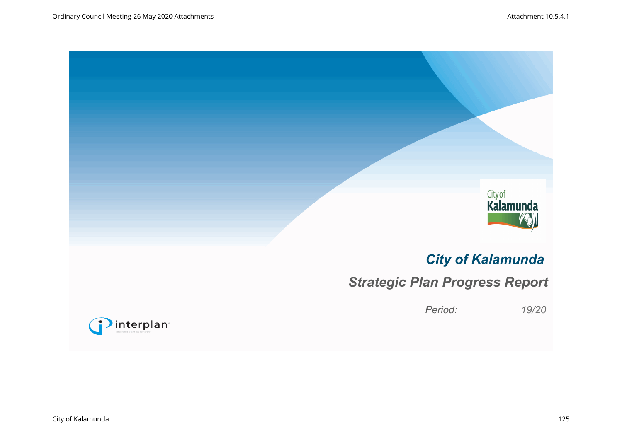

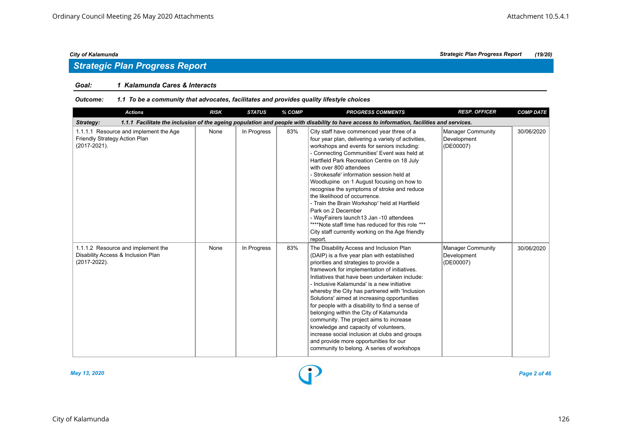## *Strategic Plan Progress Report*

#### *Goal: 1 Kalamunda Cares & Interacts*

#### *Outcome: 1.1 To be a community that advocates, facilitates and provides quality lifestyle choices*

| <b>Actions</b>                                                                           | <b>RISK</b> | <b>STATUS</b> | % COMP | <b>PROGRESS COMMENTS</b>                                                                                                                                                                                                                                                                                                                                                                                                                                                                                                                                                                                                                                                                                      | <b>RESP. OFFICER</b>                                 | <b>COMP DATE</b> |
|------------------------------------------------------------------------------------------|-------------|---------------|--------|---------------------------------------------------------------------------------------------------------------------------------------------------------------------------------------------------------------------------------------------------------------------------------------------------------------------------------------------------------------------------------------------------------------------------------------------------------------------------------------------------------------------------------------------------------------------------------------------------------------------------------------------------------------------------------------------------------------|------------------------------------------------------|------------------|
| Strategy:                                                                                |             |               |        | 1.1.1 Facilitate the inclusion of the ageing population and people with disability to have access to information, facilities and services.                                                                                                                                                                                                                                                                                                                                                                                                                                                                                                                                                                    |                                                      |                  |
| 1.1.1.1 Resource and implement the Age<br>Friendly Strategy Action Plan<br>(2017-2021).  | None        | In Progress   | 83%    | City staff have commenced year three of a<br>four year plan, delivering a variety of activities,<br>workshops and events for seniors including:<br>- Connecting Communities' Event was held at<br>Hartfield Park Recreation Centre on 18 July<br>with over 800 attendees<br>- Strokesafe' information session held at<br>Woodlupine on 1 August focusing on how to<br>recognise the symptoms of stroke and reduce<br>the likelihood of occurrence.<br>- Train the Brain Workshop' held at Hartfield<br>Park on 2 December<br>- WayFairers launch13 Jan -10 attendees<br>"***Note staff time has reduced for this role ***<br>City staff currently working on the Age friendly<br>report.                      | Manager Community<br>Development<br>(DE00007)        | 30/06/2020       |
| 1.1.1.2 Resource and implement the<br>Disability Access & Inclusion Plan<br>(2017-2022). | None        | In Progress   | 83%    | The Disability Access and Inclusion Plan<br>(DAIP) is a five year plan with established<br>priorities and strategies to provide a<br>framework for implementation of initiatives.<br>Initiatives that have been undertaken include:<br>- Inclusive Kalamunda' is a new initiative<br>whereby the City has partnered with 'Inclusion<br>Solutions' aimed at increasing opportunities<br>for people with a disability to find a sense of<br>belonging within the City of Kalamunda<br>community. The project aims to increase<br>knowledge and capacity of volunteers,<br>increase social inclusion at clubs and groups<br>and provide more opportunities for our<br>community to belong. A series of workshops | <b>Manager Community</b><br>Development<br>(DE00007) | 30/06/2020       |

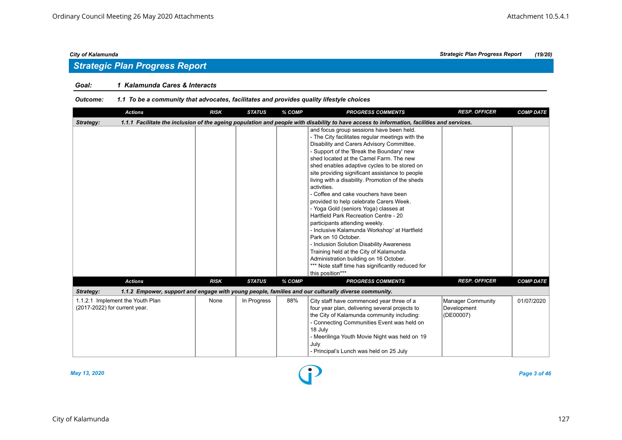## *Strategic Plan Progress Report*

### *Goal: 1 Kalamunda Cares & Interacts*

#### *Outcome: 1.1 To be a community that advocates, facilitates and provides quality lifestyle choices*

| <b>Actions</b>                                                    | <b>RISK</b> | <b>STATUS</b> | % COMP | <b>PROGRESS COMMENTS</b>                                                                                                                                                                                                                                                                                                                                                                                                                                                                                                                                                                                                                                                                                                                                                                                                                                                                        | <b>RESP. OFFICER</b>                                 | <b>COMP DATE</b> |
|-------------------------------------------------------------------|-------------|---------------|--------|-------------------------------------------------------------------------------------------------------------------------------------------------------------------------------------------------------------------------------------------------------------------------------------------------------------------------------------------------------------------------------------------------------------------------------------------------------------------------------------------------------------------------------------------------------------------------------------------------------------------------------------------------------------------------------------------------------------------------------------------------------------------------------------------------------------------------------------------------------------------------------------------------|------------------------------------------------------|------------------|
| Strategy:                                                         |             |               |        | 1.1.1 Facilitate the inclusion of the ageing population and people with disability to have access to information, facilities and services.                                                                                                                                                                                                                                                                                                                                                                                                                                                                                                                                                                                                                                                                                                                                                      |                                                      |                  |
|                                                                   |             |               |        | and focus group sessions have been held.<br>- The City facilitates regular meetings with the<br>Disability and Carers Advisory Committee.<br>- Support of the 'Break the Boundary' new<br>shed located at the Camel Farm. The new<br>shed enables adaptive cycles to be stored on<br>site providing significant assistance to people<br>living with a disability. Promotion of the sheds<br>activities.<br>- Coffee and cake vouchers have been<br>provided to help celebrate Carers Week.<br>- Yoga Gold (seniors Yoga) classes at<br>Hartfield Park Recreation Centre - 20<br>participants attending weekly.<br>- Inclusive Kalamunda Workshop' at Hartfield<br>Park on 10 October.<br>- Inclusion Solution Disability Awareness<br>Training held at the City of Kalamunda<br>Administration building on 16 October.<br>*** Note staff time has significantly reduced for<br>this position*** |                                                      |                  |
| <b>Actions</b>                                                    | <b>RISK</b> | <b>STATUS</b> | % COMP | <b>PROGRESS COMMENTS</b>                                                                                                                                                                                                                                                                                                                                                                                                                                                                                                                                                                                                                                                                                                                                                                                                                                                                        | <b>RESP. OFFICER</b>                                 | <b>COMP DATE</b> |
| Strategy:                                                         |             |               |        | 1.1.2 Empower, support and engage with young people, families and our culturally diverse community.                                                                                                                                                                                                                                                                                                                                                                                                                                                                                                                                                                                                                                                                                                                                                                                             |                                                      |                  |
| 1.1.2.1 Implement the Youth Plan<br>(2017-2022) for current year. | None        | In Progress   | 88%    | City staff have commenced year three of a<br>four year plan, delivering several projects to<br>the City of Kalamunda community including:<br>- Connecting Communities Event was held on<br>18 July<br>- Meerilinga Youth Movie Night was held on 19<br>July<br>- Principal's Lunch was held on 25 July                                                                                                                                                                                                                                                                                                                                                                                                                                                                                                                                                                                          | <b>Manager Community</b><br>Development<br>(DE00007) | 01/07/2020       |

*May 13, 2020 Page 3 of 46*

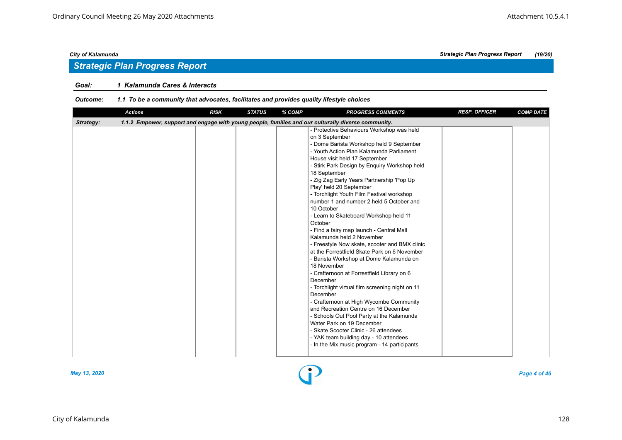## *Strategic Plan Progress Report*

#### *Goal: 1 Kalamunda Cares & Interacts*

#### *Outcome: 1.1 To be a community that advocates, facilitates and provides quality lifestyle choices*

| <b>Actions</b> | <b>RISK</b> | <b>STATUS</b> | % COMP | <b>PROGRESS COMMENTS</b>                                                                                                                                                                                                                                                                                                                                                                                                                                                                                                                                                                                                                                                                                                                                                                                                                                                                                                                                                                                                                                                                                                                              | <b>RESP. OFFICER</b> | <b>COMP DATE</b> |
|----------------|-------------|---------------|--------|-------------------------------------------------------------------------------------------------------------------------------------------------------------------------------------------------------------------------------------------------------------------------------------------------------------------------------------------------------------------------------------------------------------------------------------------------------------------------------------------------------------------------------------------------------------------------------------------------------------------------------------------------------------------------------------------------------------------------------------------------------------------------------------------------------------------------------------------------------------------------------------------------------------------------------------------------------------------------------------------------------------------------------------------------------------------------------------------------------------------------------------------------------|----------------------|------------------|
| Strategy:      |             |               |        | 1.1.2 Empower, support and engage with young people, families and our culturally diverse community.                                                                                                                                                                                                                                                                                                                                                                                                                                                                                                                                                                                                                                                                                                                                                                                                                                                                                                                                                                                                                                                   |                      |                  |
|                |             |               |        | - Protective Behaviours Workshop was held<br>on 3 September<br>- Dome Barista Workshop held 9 September<br>- Youth Action Plan Kalamunda Parliament<br>House visit held 17 September<br>- Stirk Park Design by Enquiry Workshop held<br>18 September<br>- Zig Zag Early Years Partnership 'Pop Up<br>Play' held 20 September<br>- Torchlight Youth Film Festival workshop<br>number 1 and number 2 held 5 October and<br>10 October<br>- Learn to Skateboard Workshop held 11<br>October<br>- Find a fairy map launch - Central Mall<br>Kalamunda held 2 November<br>- Freestyle Now skate, scooter and BMX clinic<br>at the Forrestfield Skate Park on 6 November<br>- Barista Workshop at Dome Kalamunda on<br>18 November<br>- Crafternoon at Forrestfield Library on 6<br>December<br>- Torchlight virtual film screening night on 11<br>December<br>- Crafternoon at High Wycombe Community<br>and Recreation Centre on 16 December<br>- Schools Out Pool Party at the Kalamunda<br>Water Park on 19 December<br>- Skate Scooter Clinic - 26 attendees<br>- YAK team building day - 10 attendees<br>- In the Mix music program - 14 participants |                      |                  |
|                |             |               |        |                                                                                                                                                                                                                                                                                                                                                                                                                                                                                                                                                                                                                                                                                                                                                                                                                                                                                                                                                                                                                                                                                                                                                       |                      |                  |

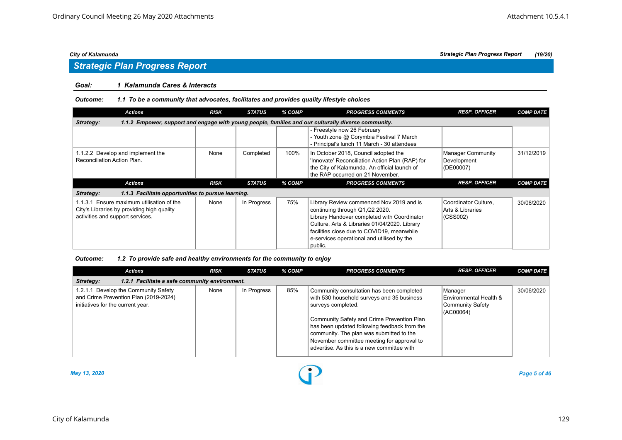# *Strategic Plan Progress Report*

#### *Goal: 1 Kalamunda Cares & Interacts*

#### *Outcome: 1.1 To be a community that advocates, facilitates and provides quality lifestyle choices*

| <b>Actions</b>                                                                                                   | <b>RISK</b> | <b>STATUS</b> | % COMP | <b>PROGRESS COMMENTS</b>                                                                                                                                                    | <b>RESP. OFFICER</b>                          | <b>COMP DATE</b> |  |  |  |  |
|------------------------------------------------------------------------------------------------------------------|-------------|---------------|--------|-----------------------------------------------------------------------------------------------------------------------------------------------------------------------------|-----------------------------------------------|------------------|--|--|--|--|
| 1.1.2 Empower, support and engage with young people, families and our culturally diverse community.<br>Strategy: |             |               |        |                                                                                                                                                                             |                                               |                  |  |  |  |  |
|                                                                                                                  |             |               |        | - Freestyle now 26 February<br>- Youth zone @ Corymbia Festival 7 March<br>- Principal's lunch 11 March - 30 attendees                                                      |                                               |                  |  |  |  |  |
| 1.1.2.2 Develop and implement the<br>Reconciliation Action Plan.                                                 | None        | Completed     | 100%   | In October 2018, Council adopted the<br>'Innovate' Reconciliation Action Plan (RAP) for<br>the City of Kalamunda. An official launch of<br>the RAP occurred on 21 November. | Manager Community<br>Development<br>(DE00007) | 31/12/2019       |  |  |  |  |
|                                                                                                                  |             |               |        |                                                                                                                                                                             |                                               |                  |  |  |  |  |
| <b>Actions</b>                                                                                                   | <b>RISK</b> | <b>STATUS</b> | % COMP | <b>PROGRESS COMMENTS</b>                                                                                                                                                    | <b>RESP. OFFICER</b>                          | <b>COMP DATE</b> |  |  |  |  |
| Strategy:<br>1.1.3 Facilitate opportunities to pursue learning.                                                  |             |               |        |                                                                                                                                                                             |                                               |                  |  |  |  |  |

| <b>Actions</b>                                                                                                     | <b>RISK</b> | <b>STATUS</b> | % COMP | <b>PROGRESS COMMENTS</b>                                                                                                                                                                                                                                                                                                                            | <b>RESP. OFFICER</b>                                               | <b>COMP DATE</b> |  |  |  |
|--------------------------------------------------------------------------------------------------------------------|-------------|---------------|--------|-----------------------------------------------------------------------------------------------------------------------------------------------------------------------------------------------------------------------------------------------------------------------------------------------------------------------------------------------------|--------------------------------------------------------------------|------------------|--|--|--|
| 1.2.1 Facilitate a safe community environment.<br>Strategy:                                                        |             |               |        |                                                                                                                                                                                                                                                                                                                                                     |                                                                    |                  |  |  |  |
| 1.2.1.1 Develop the Community Safety<br>and Crime Prevention Plan (2019-2024)<br>initiatives for the current year. | None        | In Progress   | 85%    | Community consultation has been completed<br>with 530 household surveys and 35 business<br>surveys completed.<br>Community Safety and Crime Prevention Plan<br>has been updated following feedback from the<br>community. The plan was submitted to the<br>November committee meeting for approval to<br>advertise. As this is a new committee with | Manager<br>Environmental Health &<br>Community Safety<br>(AC00064) | 30/06/2020       |  |  |  |

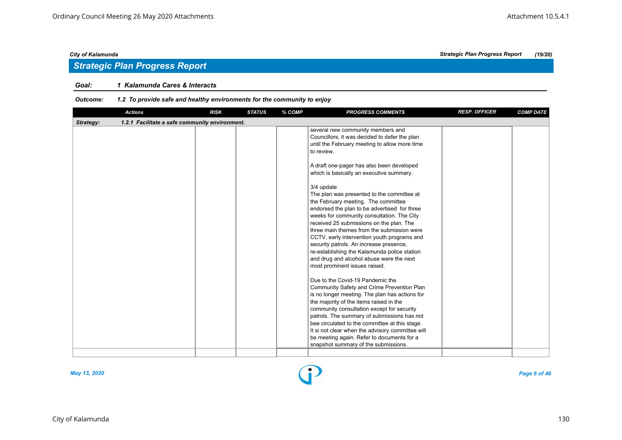## *Strategic Plan Progress Report*

#### *Goal: 1 Kalamunda Cares & Interacts*

| <b>Actions</b>                                              | <b>RISK</b> | <b>STATUS</b> | % COMP | <b>PROGRESS COMMENTS</b>                                                                                                                                                                                                                                                                                                                                                                                                                                                                                                                                                                                                                                                                                                                                                                                                                                                                                                                                                                                                                                                                                                                                                                     | <b>RESP. OFFICER</b> | <b>COMP DATE</b> |
|-------------------------------------------------------------|-------------|---------------|--------|----------------------------------------------------------------------------------------------------------------------------------------------------------------------------------------------------------------------------------------------------------------------------------------------------------------------------------------------------------------------------------------------------------------------------------------------------------------------------------------------------------------------------------------------------------------------------------------------------------------------------------------------------------------------------------------------------------------------------------------------------------------------------------------------------------------------------------------------------------------------------------------------------------------------------------------------------------------------------------------------------------------------------------------------------------------------------------------------------------------------------------------------------------------------------------------------|----------------------|------------------|
| 1.2.1 Facilitate a safe community environment.<br>Strategy: |             |               |        |                                                                                                                                                                                                                                                                                                                                                                                                                                                                                                                                                                                                                                                                                                                                                                                                                                                                                                                                                                                                                                                                                                                                                                                              |                      |                  |
|                                                             |             |               |        | several new community members and<br>Councillors, it was decided to defer the plan<br>until the February meeting to allow more time<br>to review.<br>A draft one-pager has also been developed<br>which is basically an executive summary.<br>3/4 update<br>The plan was presented to the committee at<br>the February meeting. The committee<br>endorsed the plan to be advertised for three<br>weeks for community consultation. The City<br>received 25 submissions on the plan. The<br>three main themes from the submission were<br>CCTV, early intervention youth programs and<br>security patrols. An increase presence,<br>re-establishing the Kalamunda police station<br>and drug and alcohol abuse were the next<br>most prominent issues raised.<br>Due to the Covid-19 Pandemic the<br>Community Safety and Crime Prevention Plan<br>is no longer meeting. The plan has actions for<br>the majority of the items raised in the<br>community consultation except for security<br>patrols. The summary of submissions has not<br>bee circulated to the committee at this stage.<br>It si not clear when the advisory committee will<br>be meeting again. Refer to documents for a |                      |                  |
|                                                             |             |               |        | snapshot summary of the submissions.                                                                                                                                                                                                                                                                                                                                                                                                                                                                                                                                                                                                                                                                                                                                                                                                                                                                                                                                                                                                                                                                                                                                                         |                      |                  |

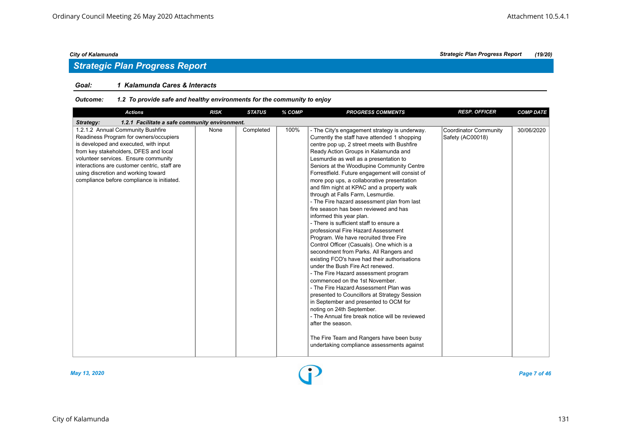## *Strategic Plan Progress Report*

### *Goal: 1 Kalamunda Cares & Interacts*

| <b>Actions</b>                                                                                                                                                                                                                                                                                                                             | <b>RISK</b> | <b>STATUS</b> | % COMP | <b>PROGRESS COMMENTS</b>                                                                                                                                                                                                                                                                                                                                                                                                                                                                                                                                                                                                                                                                                                                                                                                                                                                                                                                                                                                                                                                                                                                                                                                                                                                                              | <b>RESP. OFFICER</b>                             | <b>COMP DATE</b> |
|--------------------------------------------------------------------------------------------------------------------------------------------------------------------------------------------------------------------------------------------------------------------------------------------------------------------------------------------|-------------|---------------|--------|-------------------------------------------------------------------------------------------------------------------------------------------------------------------------------------------------------------------------------------------------------------------------------------------------------------------------------------------------------------------------------------------------------------------------------------------------------------------------------------------------------------------------------------------------------------------------------------------------------------------------------------------------------------------------------------------------------------------------------------------------------------------------------------------------------------------------------------------------------------------------------------------------------------------------------------------------------------------------------------------------------------------------------------------------------------------------------------------------------------------------------------------------------------------------------------------------------------------------------------------------------------------------------------------------------|--------------------------------------------------|------------------|
| 1.2.1 Facilitate a safe community environment.<br>Strategy:                                                                                                                                                                                                                                                                                |             |               |        |                                                                                                                                                                                                                                                                                                                                                                                                                                                                                                                                                                                                                                                                                                                                                                                                                                                                                                                                                                                                                                                                                                                                                                                                                                                                                                       |                                                  |                  |
| 1.2.1.2 Annual Community Bushfire<br>Readiness Program for owners/occupiers<br>is developed and executed, with input<br>from key stakeholders, DFES and local<br>volunteer services. Ensure community<br>interactions are customer centric, staff are<br>using discretion and working toward<br>compliance before compliance is initiated. | None        | Completed     | 100%   | - The City's engagement strategy is underway.<br>Currently the staff have attended 1 shopping<br>centre pop up, 2 street meets with Bushfire<br>Ready Action Groups in Kalamunda and<br>Lesmurdie as well as a presentation to<br>Seniors at the Woodlupine Community Centre<br>Forrestfield. Future engagement will consist of<br>more pop ups, a collaborative presentation<br>and film night at KPAC and a property walk<br>through at Falls Farm, Lesmurdie.<br>- The Fire hazard assessment plan from last<br>fire season has been reviewed and has<br>informed this year plan.<br>- There is sufficient staff to ensure a<br>professional Fire Hazard Assessment<br>Program. We have recruited three Fire<br>Control Officer (Casuals). One which is a<br>secondment from Parks. All Rangers and<br>existing FCO's have had their authorisations<br>under the Bush Fire Act renewed.<br>- The Fire Hazard assessment program<br>commenced on the 1st November.<br>- The Fire Hazard Assessment Plan was<br>presented to Councillors at Strategy Session<br>in September and presented to OCM for<br>noting on 24th September.<br>- The Annual fire break notice will be reviewed<br>after the season.<br>The Fire Team and Rangers have been busy<br>undertaking compliance assessments against | <b>Coordinator Community</b><br>Safety (AC00018) | 30/06/2020       |

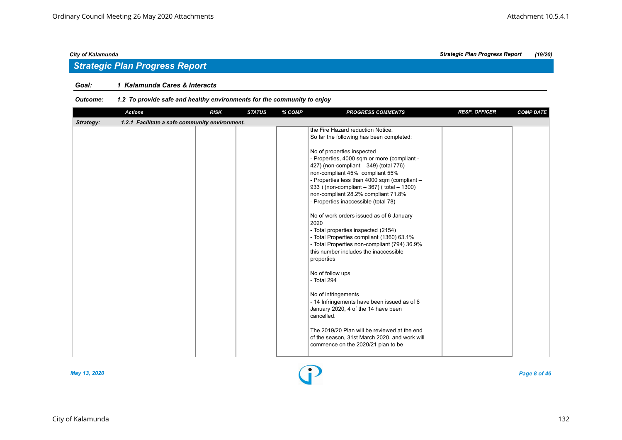## *Strategic Plan Progress Report*

#### *Goal: 1 Kalamunda Cares & Interacts*

#### *Outcome: 1.2 To provide safe and healthy environments for the community to enjoy*

|           | <b>Actions</b>                                 | <b>RISK</b> | <b>STATUS</b> | % COMP | <b>PROGRESS COMMENTS</b>                                                                                                                                                                                                                                                                                                            | <b>RESP. OFFICER</b> | <b>COMP DATE</b> |
|-----------|------------------------------------------------|-------------|---------------|--------|-------------------------------------------------------------------------------------------------------------------------------------------------------------------------------------------------------------------------------------------------------------------------------------------------------------------------------------|----------------------|------------------|
| Strategy: | 1.2.1 Facilitate a safe community environment. |             |               |        |                                                                                                                                                                                                                                                                                                                                     |                      |                  |
|           |                                                |             |               |        | the Fire Hazard reduction Notice.<br>So far the following has been completed:                                                                                                                                                                                                                                                       |                      |                  |
|           |                                                |             |               |        | No of properties inspected<br>- Properties, 4000 sqm or more (compliant -<br>427) (non-compliant - 349) (total 776)<br>non-compliant 45% compliant 55%<br>- Properties less than 4000 sqm (compliant -<br>933 ) (non-compliant - 367) (total - 1300)<br>non-compliant 28.2% compliant 71.8%<br>- Properties inaccessible (total 78) |                      |                  |
|           |                                                |             |               |        | No of work orders issued as of 6 January<br>2020<br>- Total properties inspected (2154)<br>- Total Properties compliant (1360) 63.1%<br>- Total Properties non-compliant (794) 36.9%<br>this number includes the inaccessible<br>properties                                                                                         |                      |                  |
|           |                                                |             |               |        | No of follow ups<br>- Total 294                                                                                                                                                                                                                                                                                                     |                      |                  |
|           |                                                |             |               |        | No of infringements<br>- 14 Infringements have been issued as of 6<br>January 2020, 4 of the 14 have been<br>cancelled.                                                                                                                                                                                                             |                      |                  |
|           |                                                |             |               |        | The 2019/20 Plan will be reviewed at the end<br>of the season, 31st March 2020, and work will<br>commence on the 2020/21 plan to be                                                                                                                                                                                                 |                      |                  |

### City of Kalamunda 132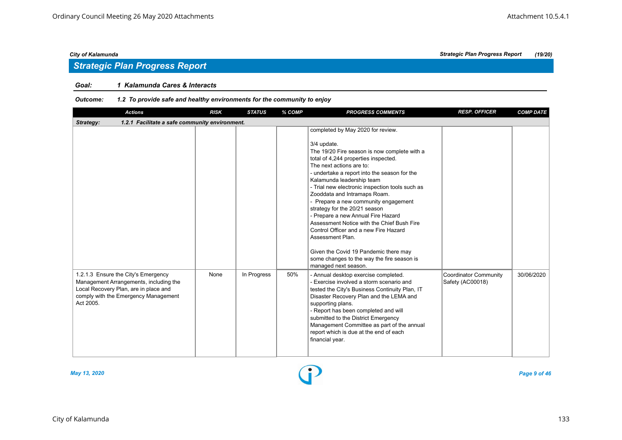## *Strategic Plan Progress Report*

#### *Goal: 1 Kalamunda Cares & Interacts*

| <b>Actions</b>                                                                                                                                                              | <b>RISK</b>                                    | <b>STATUS</b> | % COMP | <b>PROGRESS COMMENTS</b>                                                                                                                                                                                                                                                                                                                                                                                                                                                                                                                                                                                                                                                      | <b>RESP. OFFICER</b>                             | <b>COMP DATE</b> |  |  |  |  |  |
|-----------------------------------------------------------------------------------------------------------------------------------------------------------------------------|------------------------------------------------|---------------|--------|-------------------------------------------------------------------------------------------------------------------------------------------------------------------------------------------------------------------------------------------------------------------------------------------------------------------------------------------------------------------------------------------------------------------------------------------------------------------------------------------------------------------------------------------------------------------------------------------------------------------------------------------------------------------------------|--------------------------------------------------|------------------|--|--|--|--|--|
| Strategy:                                                                                                                                                                   | 1.2.1 Facilitate a safe community environment. |               |        |                                                                                                                                                                                                                                                                                                                                                                                                                                                                                                                                                                                                                                                                               |                                                  |                  |  |  |  |  |  |
|                                                                                                                                                                             |                                                |               |        | completed by May 2020 for review.<br>3/4 update.<br>The 19/20 Fire season is now complete with a<br>total of 4,244 properties inspected.<br>The next actions are to:<br>- undertake a report into the season for the<br>Kalamunda leadership team<br>- Trial new electronic inspection tools such as<br>Zooddata and Intramaps Roam.<br>- Prepare a new community engagement<br>strategy for the 20/21 season<br>- Prepare a new Annual Fire Hazard<br>Assessment Notice with the Chief Bush Fire<br>Control Officer and a new Fire Hazard<br>Assessment Plan.<br>Given the Covid 19 Pandemic there may<br>some changes to the way the fire season is<br>managed next season. |                                                  |                  |  |  |  |  |  |
| 1.2.1.3 Ensure the City's Emergency<br>Management Arrangements, including the<br>Local Recovery Plan, are in place and<br>comply with the Emergency Management<br>Act 2005. | None                                           | In Progress   | 50%    | - Annual desktop exercise completed.<br>- Exercise involved a storm scenario and<br>tested the City's Business Continuity Plan, IT<br>Disaster Recovery Plan and the LEMA and<br>supporting plans.<br>- Report has been completed and will<br>submitted to the District Emergency<br>Management Committee as part of the annual<br>report which is due at the end of each<br>financial year.                                                                                                                                                                                                                                                                                  | <b>Coordinator Community</b><br>Safety (AC00018) | 30/06/2020       |  |  |  |  |  |

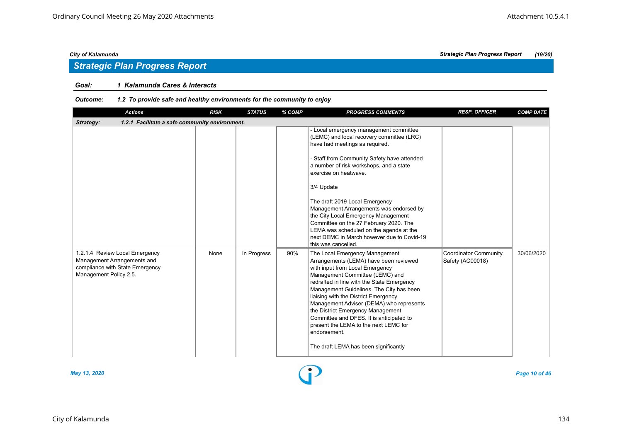## *Strategic Plan Progress Report*

#### *Goal: 1 Kalamunda Cares & Interacts*

#### *Outcome: 1.2 To provide safe and healthy environments for the community to enjoy*

| <b>Actions</b>                                                                                                             | <b>RISK</b> | <b>STATUS</b> | % COMP | <b>PROGRESS COMMENTS</b>                                                                                                                                                                                                                                                                                                                                                                                                                                                                                                             | <b>RESP. OFFICER</b>                             | <b>COMP DATE</b> |
|----------------------------------------------------------------------------------------------------------------------------|-------------|---------------|--------|--------------------------------------------------------------------------------------------------------------------------------------------------------------------------------------------------------------------------------------------------------------------------------------------------------------------------------------------------------------------------------------------------------------------------------------------------------------------------------------------------------------------------------------|--------------------------------------------------|------------------|
| 1.2.1 Facilitate a safe community environment.<br>Strategy:                                                                |             |               |        |                                                                                                                                                                                                                                                                                                                                                                                                                                                                                                                                      |                                                  |                  |
|                                                                                                                            |             |               |        | - Local emergency management committee<br>(LEMC) and local recovery committee (LRC)<br>have had meetings as required.<br>- Staff from Community Safety have attended<br>a number of risk workshops, and a state<br>exercise on heatwave.<br>3/4 Update<br>The draft 2019 Local Emergency<br>Management Arrangements was endorsed by<br>the City Local Emergency Management<br>Committee on the 27 February 2020. The<br>LEMA was scheduled on the agenda at the<br>next DEMC in March however due to Covid-19<br>this was cancelled. |                                                  |                  |
| 1.2.1.4 Review Local Emergency<br>Management Arrangements and<br>compliance with State Emergency<br>Management Policy 2.5. | None        | In Progress   | 90%    | The Local Emergency Management<br>Arrangements (LEMA) have been reviewed<br>with input from Local Emergency<br>Management Committee (LEMC) and<br>redrafted in line with the State Emergency<br>Management Guidelines. The City has been<br>liaising with the District Emergency<br>Management Adviser (DEMA) who represents<br>the District Emergency Management<br>Committee and DFES. It is anticipated to<br>present the LEMA to the next LEMC for<br>endorsement.<br>The draft LEMA has been significantly                      | <b>Coordinator Community</b><br>Safety (AC00018) | 30/06/2020       |



*May 13, 2020 Page 10 of 46*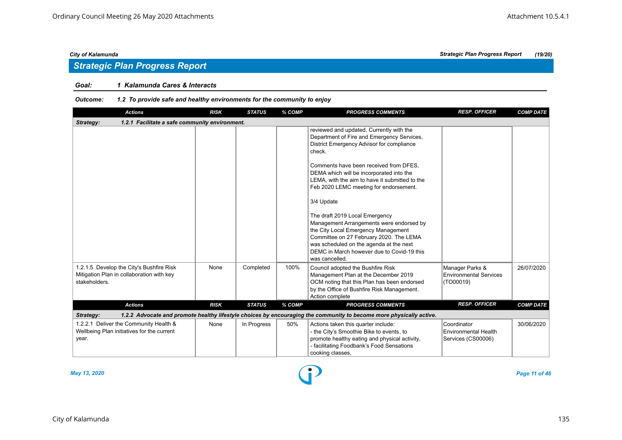## *Strategic Plan Progress Report*

#### *Goal: 1 Kalamunda Cares & Interacts*

#### *Outcome: 1.2 To provide safe and healthy environments for the community to enjoy*

| <b>Actions</b>                                                                                         | <b>RISK</b> | <b>STATUS</b> | % COMP | <b>PROGRESS COMMENTS</b>                                                                                                                                                                                                                                                              | <b>RESP. OFFICER</b>                                          | <b>COMP DATE</b> |
|--------------------------------------------------------------------------------------------------------|-------------|---------------|--------|---------------------------------------------------------------------------------------------------------------------------------------------------------------------------------------------------------------------------------------------------------------------------------------|---------------------------------------------------------------|------------------|
| 1.2.1 Facilitate a safe community environment.<br>Strategy:                                            |             |               |        |                                                                                                                                                                                                                                                                                       |                                                               |                  |
|                                                                                                        |             |               |        | reviewed and updated. Currently with the<br>Department of Fire and Emergency Services,<br>District Emergency Advisor for compliance<br>check.<br>Comments have been received from DFES.<br>DEMA which will be incorporated into the<br>LEMA, with the aim to have it submitted to the |                                                               |                  |
|                                                                                                        |             |               |        | Feb 2020 LEMC meeting for endorsement.<br>3/4 Update<br>The draft 2019 Local Emergency<br>Management Arrangements were endorsed by<br>the City Local Emergency Management<br>Committee on 27 February 2020. The LEMA<br>was scheduled on the agenda at the next                       |                                                               |                  |
|                                                                                                        |             |               |        | DEMC in March however due to Covid-19 this<br>was cancelled.                                                                                                                                                                                                                          |                                                               |                  |
| 1.2.1.5 Develop the City's Bushfire Risk<br>Mitigation Plan in collaboration with key<br>stakeholders. | None        | Completed     | 100%   | Council adopted the Bushfire Risk<br>Management Plan at the December 2019<br>OCM noting that this Plan has been endorsed<br>by the Office of Bushfire Risk Management.<br>Action complete                                                                                             | Manager Parks &<br><b>Environmental Services</b><br>(TO00019) | 26/07/2020       |
| <b>Actions</b>                                                                                         | <b>RISK</b> | <b>STATUS</b> | % COMP | <b>PROGRESS COMMENTS</b>                                                                                                                                                                                                                                                              | <b>RESP. OFFICER</b>                                          | <b>COMP DATE</b> |
| Strategy:                                                                                              |             |               |        | 1.2.2 Advocate and promote healthy lifestyle choices by encouraging the community to become more physically active.                                                                                                                                                                   |                                                               |                  |
| 1.2.2.1 Deliver the Community Health &<br>Wellbeing Plan initiatives for the current<br>year.          | None        | In Progress   | 50%    | Actions taken this quarter include:<br>- the City's Smoothie Bike to events, to<br>promote healthy eating and physical activity,<br>- facilitating Foodbank's Food Sensations<br>cooking classes,                                                                                     | Coordinator<br>Environmental Health<br>Services (CS00006)     | 30/06/2020       |

*May 13, 2020 Page 11 of 46*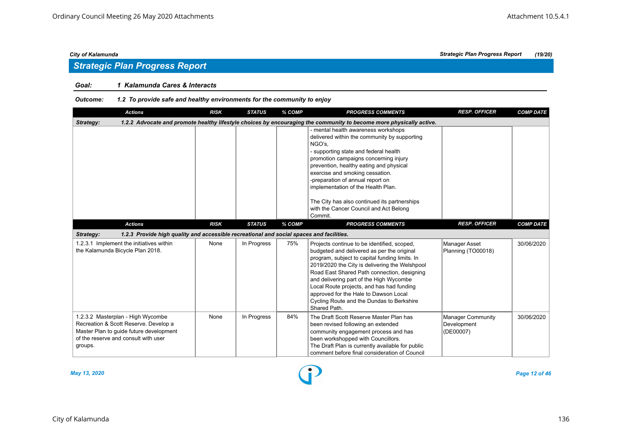## *Strategic Plan Progress Report*

### *Goal: 1 Kalamunda Cares & Interacts*

| <b>Actions</b>                                                                                                                                                           | <b>RISK</b>                                                                                                         | <b>STATUS</b> | % COMP | <b>PROGRESS COMMENTS</b>                                                                                                                                                                                                                                                                                                                                                                                                                     | <b>RESP. OFFICER</b>                                 | <b>COMP DATE</b> |  |  |  |  |  |
|--------------------------------------------------------------------------------------------------------------------------------------------------------------------------|---------------------------------------------------------------------------------------------------------------------|---------------|--------|----------------------------------------------------------------------------------------------------------------------------------------------------------------------------------------------------------------------------------------------------------------------------------------------------------------------------------------------------------------------------------------------------------------------------------------------|------------------------------------------------------|------------------|--|--|--|--|--|
| Strategy:                                                                                                                                                                | 1.2.2 Advocate and promote healthy lifestyle choices by encouraging the community to become more physically active. |               |        |                                                                                                                                                                                                                                                                                                                                                                                                                                              |                                                      |                  |  |  |  |  |  |
|                                                                                                                                                                          |                                                                                                                     |               |        | - mental health awareness workshops<br>delivered within the community by supporting<br>NGO's.<br>- supporting state and federal health<br>promotion campaigns concerning injury<br>prevention, healthy eating and physical<br>exercise and smoking cessation.<br>-preparation of annual report on<br>implementation of the Health Plan.<br>The City has also continued its partnerships<br>with the Cancer Council and Act Belong<br>Commit. |                                                      |                  |  |  |  |  |  |
| <b>Actions</b>                                                                                                                                                           | <b>RISK</b>                                                                                                         | <b>STATUS</b> | % COMP | <b>PROGRESS COMMENTS</b>                                                                                                                                                                                                                                                                                                                                                                                                                     | <b>RESP. OFFICER</b>                                 | <b>COMP DATE</b> |  |  |  |  |  |
| 1.2.3 Provide high quality and accessible recreational and social spaces and facilities.<br>Strategy:                                                                    |                                                                                                                     |               |        |                                                                                                                                                                                                                                                                                                                                                                                                                                              |                                                      |                  |  |  |  |  |  |
| 1.2.3.1 Implement the initiatives within<br>the Kalamunda Bicycle Plan 2018.                                                                                             | None                                                                                                                | In Progress   | 75%    | Projects continue to be identified, scoped,<br>budgeted and delivered as per the original<br>program, subject to capital funding limits. In<br>2019/2020 the City is delivering the Welshpool<br>Road East Shared Path connection, designing<br>and delivering part of the High Wycombe<br>Local Route projects, and has had funding<br>approved for the Hale to Dawson Local<br>Cycling Route and the Dundas to Berkshire<br>Shared Path.   | Manager Asset<br>Planning (TO00018)                  | 30/06/2020       |  |  |  |  |  |
| 1.2.3.2 Masterplan - High Wycombe<br>Recreation & Scott Reserve. Develop a<br>Master Plan to guide future development<br>of the reserve and consult with user<br>groups. | None                                                                                                                | In Progress   | 84%    | The Draft Scott Reserve Master Plan has<br>been revised following an extended<br>community engagement process and has<br>been workshopped with Councillors.<br>The Draft Plan is currently available for public<br>comment before final consideration of Council                                                                                                                                                                             | <b>Manager Community</b><br>Development<br>(DE00007) | 30/06/2020       |  |  |  |  |  |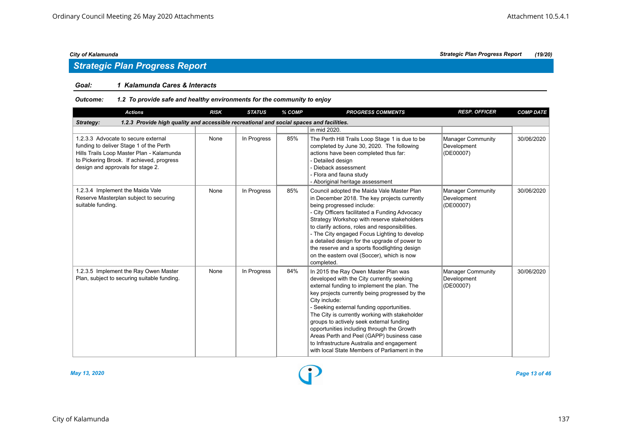## *Strategic Plan Progress Report*

#### *Goal: 1 Kalamunda Cares & Interacts*

#### *Outcome: 1.2 To provide safe and healthy environments for the community to enjoy*

| <b>Actions</b>                                                                                                                                                                                                | <b>RISK</b> | <b>STATUS</b> | % COMP | <b>PROGRESS COMMENTS</b>                                                                                                                                                                                                                                                                                                                                                                                                                                                                                                                 | <b>RESP. OFFICER</b>                                 | <b>COMP DATE</b> |
|---------------------------------------------------------------------------------------------------------------------------------------------------------------------------------------------------------------|-------------|---------------|--------|------------------------------------------------------------------------------------------------------------------------------------------------------------------------------------------------------------------------------------------------------------------------------------------------------------------------------------------------------------------------------------------------------------------------------------------------------------------------------------------------------------------------------------------|------------------------------------------------------|------------------|
| 1.2.3 Provide high quality and accessible recreational and social spaces and facilities.<br>Strategy:                                                                                                         |             |               |        |                                                                                                                                                                                                                                                                                                                                                                                                                                                                                                                                          |                                                      |                  |
|                                                                                                                                                                                                               |             |               |        | in mid 2020.                                                                                                                                                                                                                                                                                                                                                                                                                                                                                                                             |                                                      |                  |
| 1.2.3.3 Advocate to secure external<br>funding to deliver Stage 1 of the Perth<br>Hills Trails Loop Master Plan - Kalamunda<br>to Pickering Brook. If achieved, progress<br>design and approvals for stage 2. | None        | In Progress   | 85%    | The Perth Hill Trails Loop Stage 1 is due to be<br>completed by June 30, 2020. The following<br>actions have been completed thus far:<br>Detailed design<br>- Dieback assessment<br>- Flora and fauna study<br>- Aboriginal heritage assessment                                                                                                                                                                                                                                                                                          | <b>Manager Community</b><br>Development<br>(DE00007) | 30/06/2020       |
| 1.2.3.4 Implement the Maida Vale<br>Reserve Masterplan subject to securing<br>suitable funding.                                                                                                               | None        | In Progress   | 85%    | Council adopted the Maida Vale Master Plan<br>in December 2018. The key projects currently<br>being progressed include:<br>- City Officers facilitated a Funding Advocacy<br>Strategy Workshop with reserve stakeholders<br>to clarify actions, roles and responsibilities.<br>- The City engaged Focus Lighting to develop<br>a detailed design for the upgrade of power to<br>the reserve and a sports floodlighting design<br>on the eastern oval (Soccer), which is now<br>completed.                                                | <b>Manager Community</b><br>Development<br>(DE00007) | 30/06/2020       |
| 1.2.3.5 Implement the Ray Owen Master<br>Plan, subject to securing suitable funding.                                                                                                                          | None        | In Progress   | 84%    | In 2015 the Ray Owen Master Plan was<br>developed with the City currently seeking<br>external funding to implement the plan. The<br>key projects currently being progressed by the<br>City include:<br>- Seeking external funding opportunities.<br>The City is currently working with stakeholder<br>groups to actively seek external funding<br>opportunities including through the Growth<br>Areas Perth and Peel (GAPP) business case<br>to Infrastructure Australia and engagement<br>with local State Members of Parliament in the | <b>Manager Community</b><br>Development<br>(DE00007) | 30/06/2020       |



*May 13, 2020 Page 13 of 46*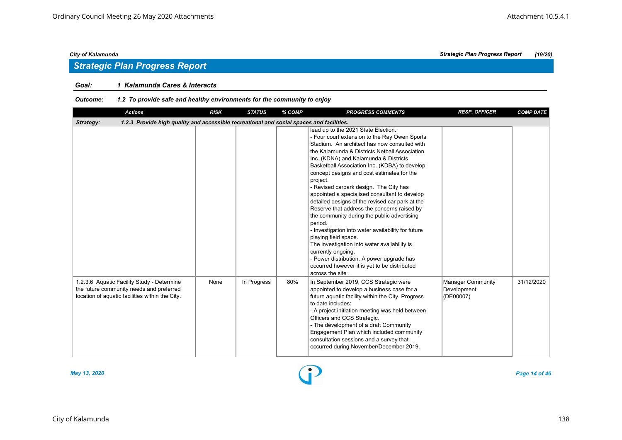## *Strategic Plan Progress Report*

### *Goal: 1 Kalamunda Cares & Interacts*

#### *Outcome: 1.2 To provide safe and healthy environments for the community to enjoy*

| <b>Actions</b>                                                                                                                            | <b>RISK</b> | <b>STATUS</b> | % COMP | <b>PROGRESS COMMENTS</b>                                                                                                                                                                                                                                                                                                                                                                                                                                                                                                                                                                                                                                                                                                                                                                                                                                              | <b>RESP. OFFICER</b>                                 | <b>COMP DATE</b> |
|-------------------------------------------------------------------------------------------------------------------------------------------|-------------|---------------|--------|-----------------------------------------------------------------------------------------------------------------------------------------------------------------------------------------------------------------------------------------------------------------------------------------------------------------------------------------------------------------------------------------------------------------------------------------------------------------------------------------------------------------------------------------------------------------------------------------------------------------------------------------------------------------------------------------------------------------------------------------------------------------------------------------------------------------------------------------------------------------------|------------------------------------------------------|------------------|
| Strategy:<br>1.2.3 Provide high quality and accessible recreational and social spaces and facilities.                                     |             |               |        |                                                                                                                                                                                                                                                                                                                                                                                                                                                                                                                                                                                                                                                                                                                                                                                                                                                                       |                                                      |                  |
|                                                                                                                                           |             |               |        | lead up to the 2021 State Election.<br>- Four court extension to the Ray Owen Sports<br>Stadium. An architect has now consulted with<br>the Kalamunda & Districts Netball Association<br>Inc. (KDNA) and Kalamunda & Districts<br>Basketball Association Inc. (KDBA) to develop<br>concept designs and cost estimates for the<br>project.<br>- Revised carpark design. The City has<br>appointed a specialised consultant to develop<br>detailed designs of the revised car park at the<br>Reserve that address the concerns raised by<br>the community during the public advertising<br>period.<br>- Investigation into water availability for future<br>playing field space.<br>The investigation into water availability is<br>currently ongoing.<br>- Power distribution. A power upgrade has<br>occurred however it is yet to be distributed<br>across the site. |                                                      |                  |
| 1.2.3.6 Aquatic Facility Study - Determine<br>the future community needs and preferred<br>location of aquatic facilities within the City. | None        | In Progress   | 80%    | In September 2019, CCS Strategic were<br>appointed to develop a business case for a<br>future aquatic facility within the City. Progress<br>to date includes:<br>- A project initiation meeting was held between<br>Officers and CCS Strategic.<br>- The development of a draft Community<br>Engagement Plan which included community<br>consultation sessions and a survey that<br>occurred during November/December 2019.                                                                                                                                                                                                                                                                                                                                                                                                                                           | <b>Manager Community</b><br>Development<br>(DE00007) | 31/12/2020       |



*May 13, 2020 Page 14 of 46*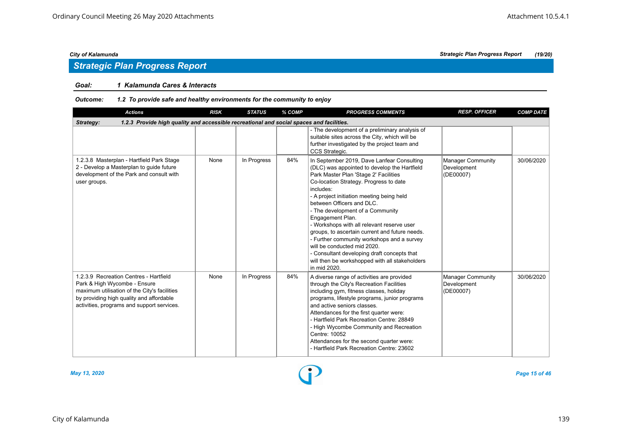## *Strategic Plan Progress Report*

#### *Goal: 1 Kalamunda Cares & Interacts*

#### *Outcome: 1.2 To provide safe and healthy environments for the community to enjoy*

| <b>Actions</b>                                                                                                                                                                                                   | <b>RISK</b> | <b>STATUS</b> | % COMP | <b>PROGRESS COMMENTS</b>                                                                                                                                                                                                                                                                                                                                                                                                                                                                                                                                                                                                   | <b>RESP. OFFICER</b>                                 | <b>COMP DATE</b> |
|------------------------------------------------------------------------------------------------------------------------------------------------------------------------------------------------------------------|-------------|---------------|--------|----------------------------------------------------------------------------------------------------------------------------------------------------------------------------------------------------------------------------------------------------------------------------------------------------------------------------------------------------------------------------------------------------------------------------------------------------------------------------------------------------------------------------------------------------------------------------------------------------------------------------|------------------------------------------------------|------------------|
| 1.2.3 Provide high quality and accessible recreational and social spaces and facilities.<br><b>Strategy:</b>                                                                                                     |             |               |        |                                                                                                                                                                                                                                                                                                                                                                                                                                                                                                                                                                                                                            |                                                      |                  |
|                                                                                                                                                                                                                  |             |               |        | - The development of a preliminary analysis of<br>suitable sites across the City, which will be<br>further investigated by the project team and<br>CCS Strategic.                                                                                                                                                                                                                                                                                                                                                                                                                                                          |                                                      |                  |
| 1.2.3.8 Masterplan - Hartfield Park Stage<br>2 - Develop a Masterplan to guide future<br>development of the Park and consult with<br>user groups.                                                                | None        | In Progress   | 84%    | In September 2019, Dave Lanfear Consulting<br>(DLC) was appointed to develop the Hartfield<br>Park Master Plan 'Stage 2' Facilities<br>Co-location Strategy. Progress to date<br>includes:<br>- A project initiation meeting being held<br>between Officers and DLC.<br>- The development of a Community<br>Engagement Plan.<br>- Workshops with all relevant reserve user<br>groups, to ascertain current and future needs.<br>- Further community workshops and a survey<br>will be conducted mid 2020.<br>- Consultant developing draft concepts that<br>will then be workshopped with all stakeholders<br>in mid 2020. | <b>Manager Community</b><br>Development<br>(DE00007) | 30/06/2020       |
| 1.2.3.9 Recreation Centres - Hartfield<br>Park & High Wycombe - Ensure<br>maximum utilisation of the City's facilities<br>by providing high quality and affordable<br>activities, programs and support services. | None        | In Progress   | 84%    | A diverse range of activities are provided<br>through the City's Recreation Facilities<br>including gym, fitness classes, holiday<br>programs, lifestyle programs, junior programs<br>and active seniors classes.<br>Attendances for the first quarter were:<br>- Hartfield Park Recreation Centre: 28849<br>- High Wycombe Community and Recreation<br>Centre: 10052<br>Attendances for the second quarter were:<br>- Hartfield Park Recreation Centre: 23602                                                                                                                                                             | Manager Community<br>Development<br>(DE00007)        | 30/06/2020       |



*May 13, 2020 Page 15 of 46*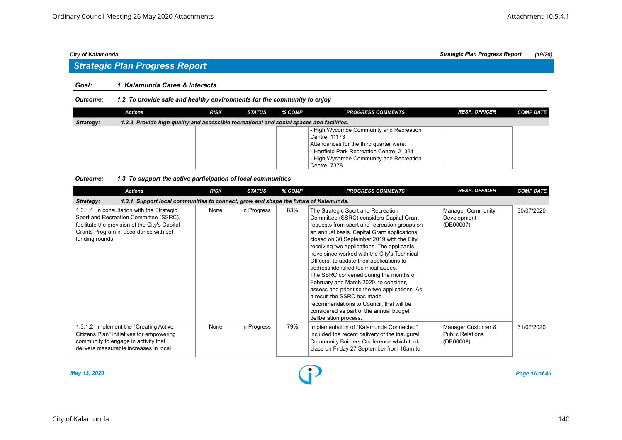# *Strategic Plan Progress Report*

#### *Goal: 1 Kalamunda Cares & Interacts*

*Outcome: 1.2 To provide safe and healthy environments for the community to enjoy*

|           | Actions                                                                                  | <b>RISK</b> | STATUS | % COMP | <b>PROGRESS COMMENTS</b>                  | <b>RESP. OFFICER</b> | <b>COMP DATE</b> |
|-----------|------------------------------------------------------------------------------------------|-------------|--------|--------|-------------------------------------------|----------------------|------------------|
| Strategy: | 1.2.3 Provide high quality and accessible recreational and social spaces and facilities. |             |        |        |                                           |                      |                  |
|           |                                                                                          |             |        |        | - High Wycombe Community and Recreation   |                      |                  |
|           |                                                                                          |             |        |        | Centre: 11173                             |                      |                  |
|           |                                                                                          |             |        |        | Attendances for the third quarter were:   |                      |                  |
|           |                                                                                          |             |        |        | - Hartfield Park Recreation Centre: 21331 |                      |                  |
|           |                                                                                          |             |        |        | - High Wycombe Community and Recreation   |                      |                  |
|           |                                                                                          |             |        |        | Centre: 7378                              |                      |                  |

#### *Outcome: 1.3 To support the active participation of local communities*

| <b>Actions</b>                                                                                                                                                                                     | <b>RISK</b> | <b>STATUS</b> | % COMP | <b>PROGRESS COMMENTS</b>                                                                                                                                                                                                                                                                                                                                                                                                                                                                                                                                                                                                                                                                        | <b>RESP. OFFICER</b>                                | <b>COMP DATE</b> |
|----------------------------------------------------------------------------------------------------------------------------------------------------------------------------------------------------|-------------|---------------|--------|-------------------------------------------------------------------------------------------------------------------------------------------------------------------------------------------------------------------------------------------------------------------------------------------------------------------------------------------------------------------------------------------------------------------------------------------------------------------------------------------------------------------------------------------------------------------------------------------------------------------------------------------------------------------------------------------------|-----------------------------------------------------|------------------|
| 1.3.1 Support local communities to connect, grow and shape the future of Kalamunda.<br>Strategy:                                                                                                   |             |               |        |                                                                                                                                                                                                                                                                                                                                                                                                                                                                                                                                                                                                                                                                                                 |                                                     |                  |
| 1.3.1.1 In consultation with the Strategic<br>Sport and Recreation Committee (SSRC),<br>facilitate the provision of the City's Capital<br>Grants Program in accordance with set<br>funding rounds. | None        | In Progress   | 83%    | The Strategic Sport and Recreation<br>Committee (SSRC) considers Capital Grant<br>requests from sport and recreation groups on<br>an annual basis. Capital Grant applications<br>closed on 30 September 2019 with the City<br>receiving two applications. The applicants<br>have since worked with the City's Technical<br>Officers, to update their applications to<br>address identified technical issues.<br>The SSRC convened during the months of<br>February and March 2020, to consider,<br>assess and prioritise the two applications. As<br>a result the SSRC has made<br>recommendations to Council, that will be<br>considered as part of the annual budget<br>deliberation process. | Manager Community<br>Development<br>(DE00007)       | 30/07/2020       |
| 1.3.1.2 Implement the "Creating Active"<br>Citizens Plan" initiatives for empowering<br>community to engage in activity that<br>delivers measurable increases in local                             | None        | In Progress   | 79%    | Implementation of "Kalamunda Connected"<br>included the recent delivery of the inaugural<br>Community Builders Conference which took<br>place on Friday 27 September from 10am to                                                                                                                                                                                                                                                                                                                                                                                                                                                                                                               | Manager Customer &<br>Public Relations<br>(DE00008) | 31/07/2020       |

*May 13, 2020 Page 16 of 46*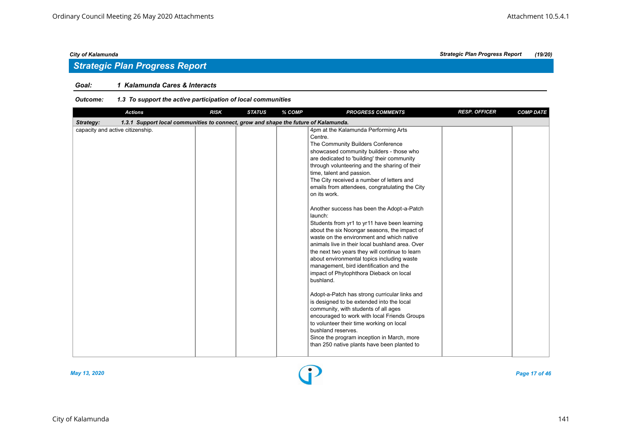## *Strategic Plan Progress Report*

### *Goal: 1 Kalamunda Cares & Interacts*

#### *Outcome: 1.3 To support the active participation of local communities*

| <b>Actions</b>                                                                                   | <b>RISK</b> | <b>STATUS</b> | % COMP | <b>PROGRESS COMMENTS</b>                                                                                                                                                                                                                                                                                                                                                                                                                                                                                                                                                                                                                                                                                                                                                                                                                                                                                                                                                                                                                                                                                                                                                                      | <b>RESP. OFFICER</b> | <b>COMP DATE</b> |
|--------------------------------------------------------------------------------------------------|-------------|---------------|--------|-----------------------------------------------------------------------------------------------------------------------------------------------------------------------------------------------------------------------------------------------------------------------------------------------------------------------------------------------------------------------------------------------------------------------------------------------------------------------------------------------------------------------------------------------------------------------------------------------------------------------------------------------------------------------------------------------------------------------------------------------------------------------------------------------------------------------------------------------------------------------------------------------------------------------------------------------------------------------------------------------------------------------------------------------------------------------------------------------------------------------------------------------------------------------------------------------|----------------------|------------------|
| 1.3.1 Support local communities to connect, grow and shape the future of Kalamunda.<br>Strategy: |             |               |        |                                                                                                                                                                                                                                                                                                                                                                                                                                                                                                                                                                                                                                                                                                                                                                                                                                                                                                                                                                                                                                                                                                                                                                                               |                      |                  |
| capacity and active citizenship.                                                                 |             |               |        | 4pm at the Kalamunda Performing Arts<br>Centre.<br>The Community Builders Conference<br>showcased community builders - those who<br>are dedicated to 'building' their community<br>through volunteering and the sharing of their<br>time, talent and passion.<br>The City received a number of letters and<br>emails from attendees, congratulating the City<br>on its work.<br>Another success has been the Adopt-a-Patch<br>launch:<br>Students from yr1 to yr11 have been learning<br>about the six Noongar seasons, the impact of<br>waste on the environment and which native<br>animals live in their local bushland area. Over<br>the next two years they will continue to learn<br>about environmental topics including waste<br>management, bird identification and the<br>impact of Phytophthora Dieback on local<br>bushland.<br>Adopt-a-Patch has strong curricular links and<br>is designed to be extended into the local<br>community, with students of all ages<br>encouraged to work with local Friends Groups<br>to volunteer their time working on local<br>bushland reserves.<br>Since the program inception in March, more<br>than 250 native plants have been planted to |                      |                  |



*May 13, 2020 Page 17 of 46*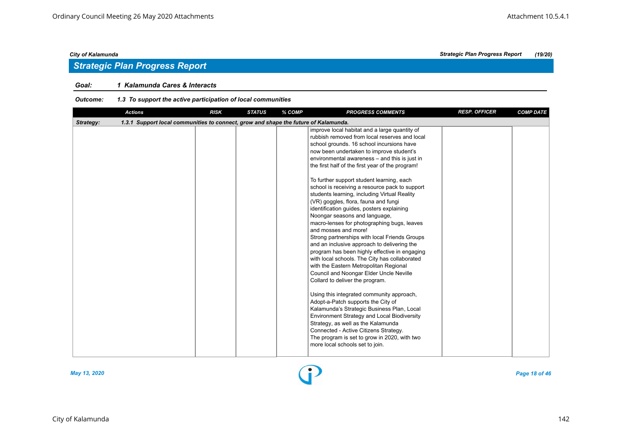## *Strategic Plan Progress Report*

### *Goal: 1 Kalamunda Cares & Interacts*

#### *Outcome: 1.3 To support the active participation of local communities*

| <b>Actions</b>                                                                                   | <b>RISK</b> | <b>STATUS</b> | % COMP | <b>PROGRESS COMMENTS</b>                                                                                                                                                                                                                                                                                                                                                                                                                                                                                                                                                                                                                                                                                                                                                                                                                                                                                                                                                                                                                                                                                                                                                                                                                                                                                                    | <b>RESP. OFFICER</b> | <b>COMP DATE</b> |
|--------------------------------------------------------------------------------------------------|-------------|---------------|--------|-----------------------------------------------------------------------------------------------------------------------------------------------------------------------------------------------------------------------------------------------------------------------------------------------------------------------------------------------------------------------------------------------------------------------------------------------------------------------------------------------------------------------------------------------------------------------------------------------------------------------------------------------------------------------------------------------------------------------------------------------------------------------------------------------------------------------------------------------------------------------------------------------------------------------------------------------------------------------------------------------------------------------------------------------------------------------------------------------------------------------------------------------------------------------------------------------------------------------------------------------------------------------------------------------------------------------------|----------------------|------------------|
| 1.3.1 Support local communities to connect, grow and shape the future of Kalamunda.<br>Strategy: |             |               |        |                                                                                                                                                                                                                                                                                                                                                                                                                                                                                                                                                                                                                                                                                                                                                                                                                                                                                                                                                                                                                                                                                                                                                                                                                                                                                                                             |                      |                  |
|                                                                                                  |             |               |        | improve local habitat and a large quantity of<br>rubbish removed from local reserves and local<br>school grounds. 16 school incursions have<br>now been undertaken to improve student's<br>environmental awareness - and this is just in<br>the first half of the first year of the program!<br>To further support student learning, each<br>school is receiving a resource pack to support<br>students learning, including Virtual Reality<br>(VR) goggles, flora, fauna and fungi<br>identification guides, posters explaining<br>Noongar seasons and language,<br>macro-lenses for photographing bugs, leaves<br>and mosses and more!<br>Strong partnerships with local Friends Groups<br>and an inclusive approach to delivering the<br>program has been highly effective in engaging<br>with local schools. The City has collaborated<br>with the Eastern Metropolitan Regional<br>Council and Noongar Elder Uncle Neville<br>Collard to deliver the program.<br>Using this integrated community approach,<br>Adopt-a-Patch supports the City of<br>Kalamunda's Strategic Business Plan, Local<br><b>Environment Strategy and Local Biodiversity</b><br>Strategy, as well as the Kalamunda<br>Connected - Active Citizens Strategy.<br>The program is set to grow in 2020, with two<br>more local schools set to join. |                      |                  |
|                                                                                                  |             |               |        |                                                                                                                                                                                                                                                                                                                                                                                                                                                                                                                                                                                                                                                                                                                                                                                                                                                                                                                                                                                                                                                                                                                                                                                                                                                                                                                             |                      |                  |

*May 13, 2020 Page 18 of 46*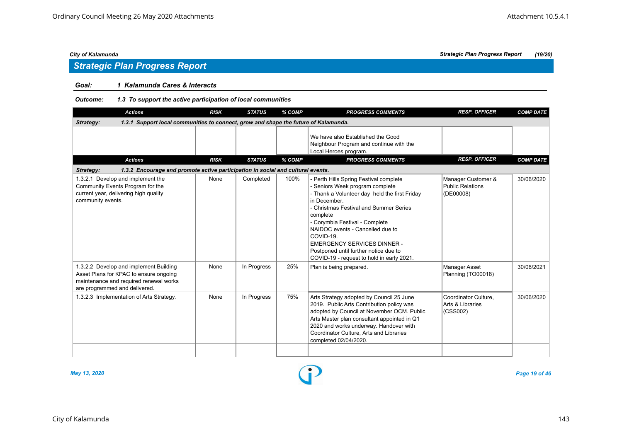## *Strategic Plan Progress Report*

### *Goal: 1 Kalamunda Cares & Interacts*

#### *Outcome: 1.3 To support the active participation of local communities*

| <b>Actions</b>                                                                                                                                              | <b>RISK</b> | <b>STATUS</b> | % COMP | <b>PROGRESS COMMENTS</b>                                                                                                                                                                                                                                                                                                                                                                                        | <b>RESP. OFFICER</b>                                       | <b>COMP DATE</b> |
|-------------------------------------------------------------------------------------------------------------------------------------------------------------|-------------|---------------|--------|-----------------------------------------------------------------------------------------------------------------------------------------------------------------------------------------------------------------------------------------------------------------------------------------------------------------------------------------------------------------------------------------------------------------|------------------------------------------------------------|------------------|
| 1.3.1 Support local communities to connect, grow and shape the future of Kalamunda.<br>Strategy:                                                            |             |               |        |                                                                                                                                                                                                                                                                                                                                                                                                                 |                                                            |                  |
|                                                                                                                                                             |             |               |        | We have also Established the Good<br>Neighbour Program and continue with the<br>Local Heroes program.                                                                                                                                                                                                                                                                                                           |                                                            |                  |
| <b>Actions</b>                                                                                                                                              | <b>RISK</b> | <b>STATUS</b> | % COMP | <b>PROGRESS COMMENTS</b>                                                                                                                                                                                                                                                                                                                                                                                        | <b>RESP. OFFICER</b>                                       | <b>COMP DATE</b> |
| 1.3.2 Encourage and promote active participation in social and cultural events.<br>Strategy:                                                                |             |               |        |                                                                                                                                                                                                                                                                                                                                                                                                                 |                                                            |                  |
| 1.3.2.1 Develop and implement the<br>Community Events Program for the<br>current year, delivering high quality<br>community events.                         | None        | Completed     | 100%   | - Perth Hills Spring Festival complete<br>- Seniors Week program complete<br>- Thank a Volunteer day held the first Friday<br>in December.<br>- Christmas Festival and Summer Series<br>complete<br>- Corymbia Festival - Complete<br>NAIDOC events - Cancelled due to<br>COVID-19.<br><b>EMERGENCY SERVICES DINNER -</b><br>Postponed until further notice due to<br>COVID-19 - request to hold in early 2021. | Manager Customer &<br><b>Public Relations</b><br>(DE00008) | 30/06/2020       |
| 1.3.2.2 Develop and implement Building<br>Asset Plans for KPAC to ensure ongoing<br>maintenance and required renewal works<br>are programmed and delivered. | None        | In Progress   | 25%    | Plan is being prepared.                                                                                                                                                                                                                                                                                                                                                                                         | <b>Manager Asset</b><br>Planning (TO00018)                 | 30/06/2021       |
| 1.3.2.3 Implementation of Arts Strategy.                                                                                                                    | None        | In Progress   | 75%    | Arts Strategy adopted by Council 25 June<br>2019. Public Arts Contribution policy was<br>adopted by Council at November OCM. Public<br>Arts Master plan consultant appointed in Q1<br>2020 and works underway. Handover with<br>Coordinator Culture, Arts and Libraries<br>completed 02/04/2020.                                                                                                                | Coordinator Culture,<br>Arts & Libraries<br>(CSS002)       | 30/06/2020       |
|                                                                                                                                                             |             |               |        |                                                                                                                                                                                                                                                                                                                                                                                                                 |                                                            |                  |



*May 13, 2020 Page 19 of 46*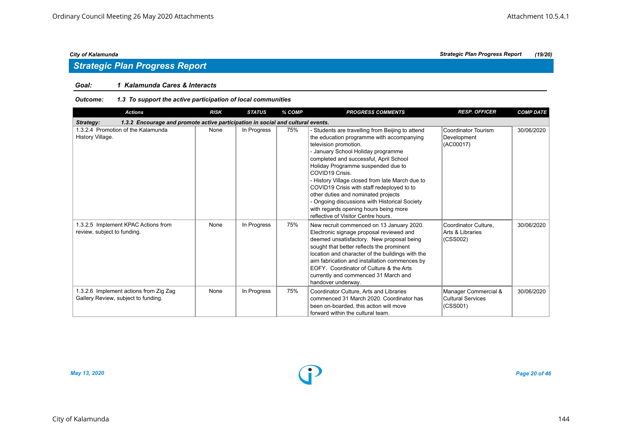## *Strategic Plan Progress Report*

### *Goal: 1 Kalamunda Cares & Interacts*

#### *Outcome: 1.3 To support the active participation of local communities*

| <b>Actions</b>                                                                               | <b>RISK</b> | <b>STATUS</b> | % COMP | <b>PROGRESS COMMENTS</b>                                                                                                                                                                                                                                                                                                                                                                                                                                                                                                                 | <b>RESP. OFFICER</b>                                   | <b>COMP DATE</b> |
|----------------------------------------------------------------------------------------------|-------------|---------------|--------|------------------------------------------------------------------------------------------------------------------------------------------------------------------------------------------------------------------------------------------------------------------------------------------------------------------------------------------------------------------------------------------------------------------------------------------------------------------------------------------------------------------------------------------|--------------------------------------------------------|------------------|
| 1.3.2 Encourage and promote active participation in social and cultural events.<br>Strategy: |             |               |        |                                                                                                                                                                                                                                                                                                                                                                                                                                                                                                                                          |                                                        |                  |
| 1.3.2.4 Promotion of the Kalamunda<br>History Village.                                       | None        | In Progress   | 75%    | - Students are travelling from Beijing to attend<br>the education programme with accompanying<br>television promotion.<br>- January School Holiday programme<br>completed and successful, April School<br>Holiday Programme suspended due to<br>COVID19 Crisis.<br>- History Village closed from late March due to<br>COVID19 Crisis with staff redeployed to to<br>other duties and nominated projects<br>- Ongoing discussions with Historical Society<br>with regards opening hours being more<br>reflective of Visitor Centre hours. | <b>Coordinator Tourism</b><br>Development<br>(AC00017) | 30/06/2020       |
| 1.3.2.5 Implement KPAC Actions from<br>review, subject to funding.                           | None        | In Progress   | 75%    | New recruit commenced on 13 January 2020.<br>Electronic signage proposal reviewed and<br>deemed unsatisfactory. New proposal being<br>sought that better reflects the prominent<br>location and character of the buildings with the<br>aim fabrication and installation commences by<br>EOFY. Coordinator of Culture & the Arts<br>currently and commenced 31 March and<br>handover underway.                                                                                                                                            | Coordinator Culture,<br>Arts & Libraries<br>(CSS002)   | 30/06/2020       |
| 1.3.2.6 Implement actions from Zig Zag<br>Gallery Review, subject to funding.                | None        | In Progress   | 75%    | Coordinator Culture, Arts and Libraries<br>commenced 31 March 2020. Coordinator has<br>been on-boarded, this action will move<br>forward within the cultural team.                                                                                                                                                                                                                                                                                                                                                                       | Manager Commercial &<br>Cultural Services<br>(CSS001)  | 30/06/2020       |

*City of Kalamunda Strategic Plan Progress Report (19/20)*

*May 13, 2020 Page 20 of 46*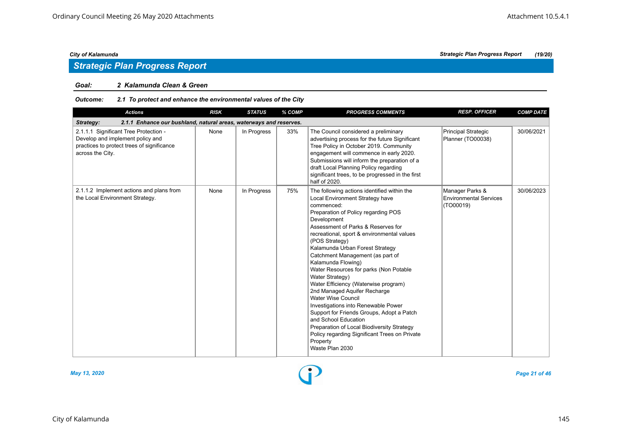## *Strategic Plan Progress Report*

### *Goal: 2 Kalamunda Clean & Green*

| Outcome: | 2.1 To protect and enhance the environmental values of the City |
|----------|-----------------------------------------------------------------|
|----------|-----------------------------------------------------------------|

| <b>Actions</b>                                                                                                                              | <b>RISK</b> | <b>STATUS</b> | % COMP | <b>PROGRESS COMMENTS</b>                                                                                                                                                                                                                                                                                                                                                                                                                                                                                                                                                                                                                                                                                                                                          | <b>RESP. OFFICER</b>                                   | <b>COMP DATE</b> |
|---------------------------------------------------------------------------------------------------------------------------------------------|-------------|---------------|--------|-------------------------------------------------------------------------------------------------------------------------------------------------------------------------------------------------------------------------------------------------------------------------------------------------------------------------------------------------------------------------------------------------------------------------------------------------------------------------------------------------------------------------------------------------------------------------------------------------------------------------------------------------------------------------------------------------------------------------------------------------------------------|--------------------------------------------------------|------------------|
| 2.1.1 Enhance our bushland, natural areas, waterways and reserves.<br>Strategy:                                                             |             |               |        |                                                                                                                                                                                                                                                                                                                                                                                                                                                                                                                                                                                                                                                                                                                                                                   |                                                        |                  |
| 2.1.1.1 Significant Tree Protection -<br>Develop and implement policy and<br>practices to protect trees of significance<br>across the City. | None        | In Progress   | 33%    | The Council considered a preliminary<br>advertising process for the future Significant<br>Tree Policy in October 2019. Community<br>engagement will commence in early 2020.<br>Submissions will inform the preparation of a<br>draft Local Planning Policy regarding<br>significant trees, to be progressed in the first<br>half of 2020.                                                                                                                                                                                                                                                                                                                                                                                                                         | Principal Strategic<br>Planner (TO00038)               | 30/06/2021       |
| 2.1.1.2 Implement actions and plans from<br>the Local Environment Strategy.                                                                 | None        | In Progress   | 75%    | The following actions identified within the<br>Local Environment Strategy have<br>commenced:<br>Preparation of Policy regarding POS<br>Development<br>Assessment of Parks & Reserves for<br>recreational, sport & environmental values<br>(POS Strategy)<br>Kalamunda Urban Forest Strategy<br>Catchment Management (as part of<br>Kalamunda Flowing)<br>Water Resources for parks (Non Potable<br>Water Strategy)<br>Water Efficiency (Waterwise program)<br>2nd Managed Aquifer Recharge<br><b>Water Wise Council</b><br>Investigations into Renewable Power<br>Support for Friends Groups, Adopt a Patch<br>and School Education<br>Preparation of Local Biodiversity Strategy<br>Policy regarding Significant Trees on Private<br>Property<br>Waste Plan 2030 | Manager Parks &<br>Environmental Services<br>(TO00019) | 30/06/2023       |



*May 13, 2020 Page 21 of 46*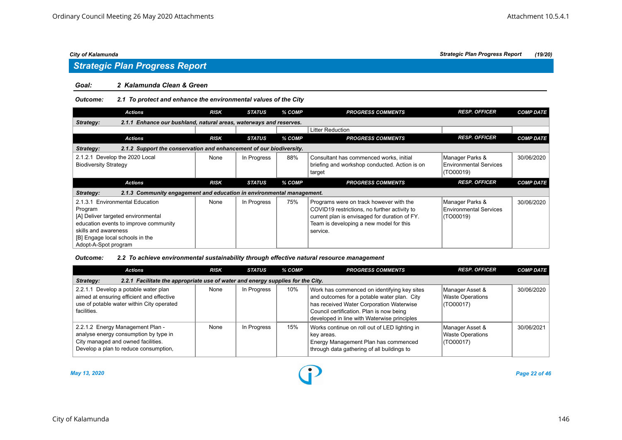# *Strategic Plan Progress Report*

#### *Goal: 2 Kalamunda Clean & Green*

#### *Outcome: 2.1 To protect and enhance the environmental values of the City*

| <b>Actions</b>                                                                     | <b>RISK</b> | <b>STATUS</b> | % COMP | <b>PROGRESS COMMENTS</b>                                                                           | <b>RESP. OFFICER</b>                                          | <b>COMP DATE</b> |
|------------------------------------------------------------------------------------|-------------|---------------|--------|----------------------------------------------------------------------------------------------------|---------------------------------------------------------------|------------------|
| Strategy:<br>2.1.1 Enhance our bushland, natural areas, waterways and reserves.    |             |               |        |                                                                                                    |                                                               |                  |
|                                                                                    |             |               |        | <b>Litter Reduction</b>                                                                            |                                                               |                  |
| <b>Actions</b>                                                                     | <b>RISK</b> | <b>STATUS</b> | % COMP | <b>PROGRESS COMMENTS</b>                                                                           | <b>RESP. OFFICER</b>                                          | <b>COMP DATE</b> |
| 2.1.2 Support the conservation and enhancement of our biodiversity.<br>Strategy:   |             |               |        |                                                                                                    |                                                               |                  |
| Develop the 2020 Local<br>2.1.2.1<br><b>Biodiversity Strategy</b>                  | None        | In Progress   | 88%    | Consultant has commenced works, initial<br>briefing and workshop conducted. Action is on<br>target | Manager Parks &<br><b>Environmental Services</b><br>(TO00019) | 30/06/2020       |
|                                                                                    |             |               |        |                                                                                                    |                                                               |                  |
| <b>Actions</b>                                                                     | <b>RISK</b> | <b>STATUS</b> | % COMP | <b>PROGRESS COMMENTS</b>                                                                           | <b>RESP. OFFICER</b>                                          | <b>COMP DATE</b> |
| 2.1.3 Community engagement and education in environmental management.<br>Strategy: |             |               |        |                                                                                                    |                                                               |                  |

#### *Outcome: 2.2 To achieve environmental sustainability through effective natural resource management*

| <b>Actions</b>                                                                                                                                           | <b>RISK</b> | <b>STATUS</b> | % COMP | <b>PROGRESS COMMENTS</b>                                                                                                                                                                                                          | <b>RESP. OFFICER</b>                                    | <b>COMP DATE</b> |  |  |  |
|----------------------------------------------------------------------------------------------------------------------------------------------------------|-------------|---------------|--------|-----------------------------------------------------------------------------------------------------------------------------------------------------------------------------------------------------------------------------------|---------------------------------------------------------|------------------|--|--|--|
| 2.2.1 Facilitate the appropriate use of water and energy supplies for the City.<br>Strategy:                                                             |             |               |        |                                                                                                                                                                                                                                   |                                                         |                  |  |  |  |
| Develop a potable water plan<br>2.2.1<br>aimed at ensuring efficient and effective<br>use of potable water within City operated<br>facilities.           | None        | In Progress   | 10%    | Work has commenced on identifying key sites<br>and outcomes for a potable water plan. City<br>has received Water Corporation Waterwise<br>Council certification. Plan is now being<br>developed in line with Waterwise principles | Manager Asset &<br><b>Waste Operations</b><br>(TO00017) | 30/06/2020       |  |  |  |
| 2.2.1.2 Energy Management Plan -<br>analyse energy consumption by type in<br>City managed and owned facilities.<br>Develop a plan to reduce consumption, | None        | In Progress   | 15%    | Works continue on roll out of LED lighting in<br>key areas.<br>Energy Management Plan has commenced<br>through data gathering of all buildings to                                                                                 | Manager Asset &<br><b>Waste Operations</b><br>(TO00017) | 30/06/2021       |  |  |  |

*May 13, 2020 Page 22 of 46*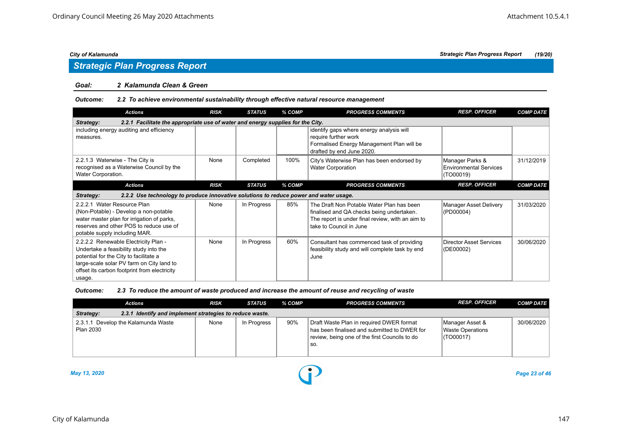### *Strategic Plan Progress Report*

#### *Goal: 2 Kalamunda Clean & Green*

#### *Outcome: 2.2 To achieve environmental sustainability through effective natural resource management*

| <b>Actions</b>                                                                                                                                                                                                                  | <b>RISK</b> | <b>STATUS</b> | % COMP | <b>PROGRESS COMMENTS</b>                                                                                                                                              | <b>RESP. OFFICER</b>                                          | <b>COMP DATE</b> |  |  |  |  |
|---------------------------------------------------------------------------------------------------------------------------------------------------------------------------------------------------------------------------------|-------------|---------------|--------|-----------------------------------------------------------------------------------------------------------------------------------------------------------------------|---------------------------------------------------------------|------------------|--|--|--|--|
| 2.2.1 Facilitate the appropriate use of water and energy supplies for the City.<br>Strategy:                                                                                                                                    |             |               |        |                                                                                                                                                                       |                                                               |                  |  |  |  |  |
| including energy auditing and efficiency<br>measures.                                                                                                                                                                           |             |               |        | identify gaps where energy analysis will<br>require further work<br>Formalised Energy Management Plan will be<br>drafted by end June 2020.                            |                                                               |                  |  |  |  |  |
| 2.2.1.3 Waterwise - The City is<br>recognised as a Waterwise Council by the<br>Water Corporation.                                                                                                                               | None        | Completed     | 100%   | City's Waterwise Plan has been endorsed by<br><b>Water Corporation</b>                                                                                                | Manager Parks &<br><b>Environmental Services</b><br>(TO00019) | 31/12/2019       |  |  |  |  |
| <b>Actions</b>                                                                                                                                                                                                                  | <b>RISK</b> | <b>STATUS</b> | % COMP | <b>PROGRESS COMMENTS</b>                                                                                                                                              | <b>RESP. OFFICER</b>                                          | <b>COMP DATE</b> |  |  |  |  |
| 2.2.2 Use technology to produce innovative solutions to reduce power and water usage.<br>Strategy:                                                                                                                              |             |               |        |                                                                                                                                                                       |                                                               |                  |  |  |  |  |
| 2.2.2.1 Water Resource Plan<br>(Non-Potable) - Develop a non-potable<br>water master plan for irrigation of parks,<br>reserves and other POS to reduce use of<br>potable supply including MAR.                                  | None        | In Progress   | 85%    | The Draft Non Potable Water Plan has been<br>finalised and QA checks being undertaken.<br>The report is under final review, with an aim to<br>take to Council in June | Manager Asset Delivery<br>(PD00004)                           | 31/03/2020       |  |  |  |  |
| 2.2.2.2 Renewable Electricity Plan -<br>Undertake a feasibility study into the<br>potential for the City to facilitate a<br>large-scale solar PV farm on City land to<br>offset its carbon footprint from electricity<br>usage. | None        | In Progress   | 60%    | Consultant has commenced task of providing<br>feasibility study and will complete task by end<br>June                                                                 | Director Asset Services<br>(DE00002)                          | 30/06/2020       |  |  |  |  |

#### *Outcome: 2.3 To reduce the amount of waste produced and increase the amount of reuse and recycling of waste*

|                                                                       | Actions                             | RISK | <b>STATUS</b> | % COMP | <b>PROGRESS COMMENTS</b>                                                                                                                           | <b>RESP. OFFICER</b>                             | <b>COMP DATE</b> |  |  |
|-----------------------------------------------------------------------|-------------------------------------|------|---------------|--------|----------------------------------------------------------------------------------------------------------------------------------------------------|--------------------------------------------------|------------------|--|--|
| 2.3.1 Identify and implement strategies to reduce waste.<br>Strategy: |                                     |      |               |        |                                                                                                                                                    |                                                  |                  |  |  |
| Plan 2030                                                             | 2.3.1.1 Develop the Kalamunda Waste | None | In Progress   | 90%    | Draft Waste Plan in required DWER format<br>I has been finalised and submitted to DWER for<br>review, being one of the first Councils to do<br>SO. | Manager Asset &<br>Waste Operations<br>(TO00017) | 30/06/2020       |  |  |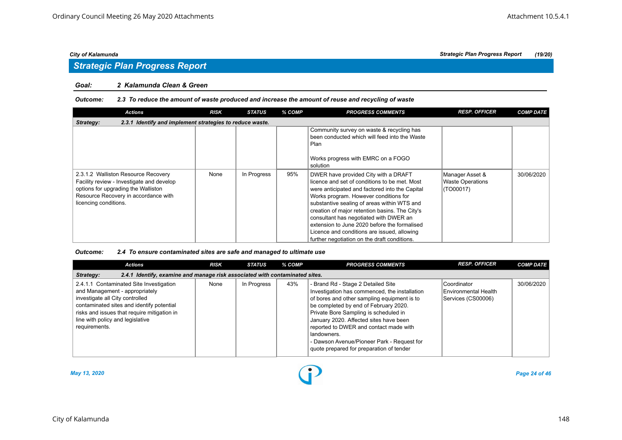# *Strategic Plan Progress Report*

#### *Goal: 2 Kalamunda Clean & Green*

#### *Outcome: 2.3 To reduce the amount of waste produced and increase the amount of reuse and recycling of waste*

| <b>Actions</b>                                                                                                                                                                           | <b>RISK</b> | <b>STATUS</b> | % COMP | <b>PROGRESS COMMENTS</b>                                                                                                                                                                                                                                                                                                                                                                                                                                                   | <b>RESP. OFFICER</b>                                    | <b>COMP DATE</b> |  |  |  |  |
|------------------------------------------------------------------------------------------------------------------------------------------------------------------------------------------|-------------|---------------|--------|----------------------------------------------------------------------------------------------------------------------------------------------------------------------------------------------------------------------------------------------------------------------------------------------------------------------------------------------------------------------------------------------------------------------------------------------------------------------------|---------------------------------------------------------|------------------|--|--|--|--|
| 2.3.1 Identify and implement strategies to reduce waste.<br>Strategy:                                                                                                                    |             |               |        |                                                                                                                                                                                                                                                                                                                                                                                                                                                                            |                                                         |                  |  |  |  |  |
|                                                                                                                                                                                          |             |               |        | Community survey on waste & recycling has<br>been conducted which will feed into the Waste<br>Plan<br>Works progress with EMRC on a FOGO<br>solution                                                                                                                                                                                                                                                                                                                       |                                                         |                  |  |  |  |  |
| 2.3.1.2 Walliston Resource Recovery<br>Facility review - Investigate and develop<br>options for upgrading the Walliston<br>Resource Recovery in accordance with<br>licencing conditions. | None        | In Progress   | 95%    | DWER have provided City with a DRAFT<br>licence and set of conditions to be met. Most<br>were anticipated and factored into the Capital<br>Works program. However conditions for<br>substantive sealing of areas within WTS and<br>creation of major retention basins. The City's<br>consultant has negotiated with DWER an<br>extension to June 2020 before the formalised<br>Licence and conditions are issued, allowing<br>further negotiation on the draft conditions. | Manager Asset &<br><b>Waste Operations</b><br>(TO00017) | 30/06/2020       |  |  |  |  |

#### *Outcome: 2.4 To ensure contaminated sites are safe and managed to ultimate use*

| <b>Actions</b>                                                                                                                                                                                                                                                | <b>RISK</b> | <b>STATUS</b> | % COMP | <b>PROGRESS COMMENTS</b>                                                                                                                                                                                                                                                                                                                                                                                          | <b>RESP. OFFICER</b>                                        | <b>COMP DATE</b> |  |  |  |  |
|---------------------------------------------------------------------------------------------------------------------------------------------------------------------------------------------------------------------------------------------------------------|-------------|---------------|--------|-------------------------------------------------------------------------------------------------------------------------------------------------------------------------------------------------------------------------------------------------------------------------------------------------------------------------------------------------------------------------------------------------------------------|-------------------------------------------------------------|------------------|--|--|--|--|
| 2.4.1 Identify, examine and manage risk associated with contaminated sites.<br>Strategy:                                                                                                                                                                      |             |               |        |                                                                                                                                                                                                                                                                                                                                                                                                                   |                                                             |                  |  |  |  |  |
| 2.4.1.1 Contaminated Site Investigation<br>and Management - appropriately<br>investigate all City controlled<br>contaminated sites and identify potential<br>risks and issues that require mitigation in<br>line with policy and legislative<br>requirements. | None        | In Progress   | 43%    | - Brand Rd - Stage 2 Detailed Site<br>Investigation has commenced, the installation<br>of bores and other sampling equipment is to<br>be completed by end of February 2020.<br>Private Bore Sampling is scheduled in<br>January 2020. Affected sites have been<br>reported to DWER and contact made with<br>landowners.<br>- Dawson Avenue/Pioneer Park - Request for<br>quote prepared for preparation of tender | l Coordinator<br>Environmental Health<br>Services (CS00006) | 30/06/2020       |  |  |  |  |



*May 13, 2020 Page 24 of 46*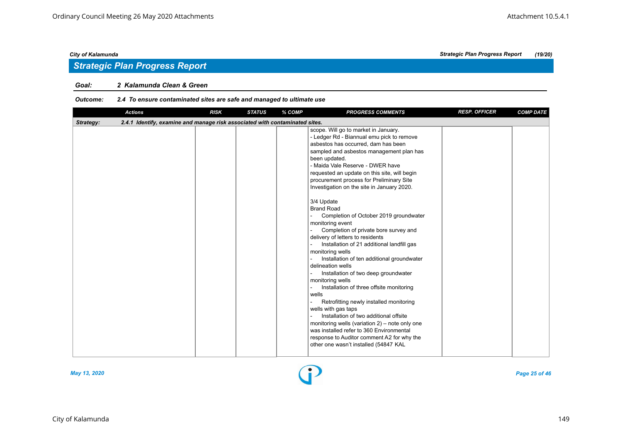## *Strategic Plan Progress Report*

#### *Goal: 2 Kalamunda Clean & Green*

### *Outcome: 2.4 To ensure contaminated sites are safe and managed to ultimate use*

| <b>Actions</b>                                                                           | <b>RISK</b> | <b>STATUS</b> | % COMP | <b>PROGRESS COMMENTS</b>                                                                                                                                                                                                                                                                                                                                                                                                                                                                                                                                                                                                                                                                                                                                                                                                                                                                                                                                                                                                                                                                                    | <b>RESP. OFFICER</b> | <b>COMP DATE</b> |
|------------------------------------------------------------------------------------------|-------------|---------------|--------|-------------------------------------------------------------------------------------------------------------------------------------------------------------------------------------------------------------------------------------------------------------------------------------------------------------------------------------------------------------------------------------------------------------------------------------------------------------------------------------------------------------------------------------------------------------------------------------------------------------------------------------------------------------------------------------------------------------------------------------------------------------------------------------------------------------------------------------------------------------------------------------------------------------------------------------------------------------------------------------------------------------------------------------------------------------------------------------------------------------|----------------------|------------------|
| 2.4.1 Identify, examine and manage risk associated with contaminated sites.<br>Strategy: |             |               |        |                                                                                                                                                                                                                                                                                                                                                                                                                                                                                                                                                                                                                                                                                                                                                                                                                                                                                                                                                                                                                                                                                                             |                      |                  |
|                                                                                          |             |               |        | scope. Will go to market in January.<br>- Ledger Rd - Biannual emu pick to remove<br>asbestos has occurred, dam has been<br>sampled and asbestos management plan has<br>been updated.<br>- Maida Vale Reserve - DWER have<br>requested an update on this site, will begin<br>procurement process for Preliminary Site<br>Investigation on the site in January 2020.<br>3/4 Update<br><b>Brand Road</b><br>Completion of October 2019 groundwater<br>monitoring event<br>Completion of private bore survey and<br>delivery of letters to residents<br>Installation of 21 additional landfill gas<br>monitoring wells<br>Installation of ten additional groundwater<br>delineation wells<br>Installation of two deep groundwater<br>monitoring wells<br>Installation of three offsite monitoring<br>wells<br>Retrofitting newly installed monitoring<br>wells with gas taps<br>Installation of two additional offsite<br>monitoring wells (variation $2$ ) – note only one<br>was installed refer to 360 Environmental<br>response to Auditor comment A2 for why the<br>other one wasn't installed (54847 KAL |                      |                  |



*May 13, 2020 Page 25 of 46*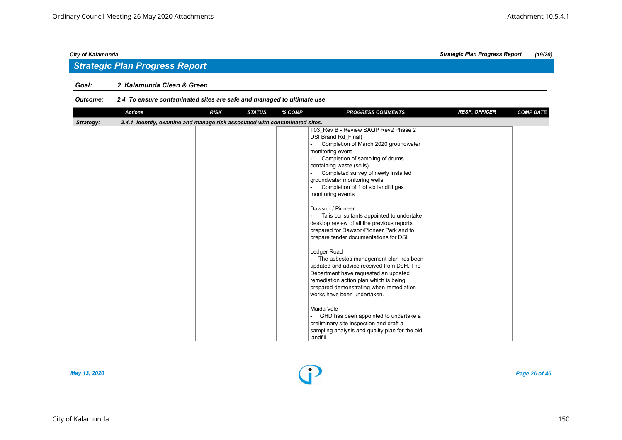## *Strategic Plan Progress Report*

#### *Goal: 2 Kalamunda Clean & Green*

### *Outcome: 2.4 To ensure contaminated sites are safe and managed to ultimate use*

|           | <b>Actions</b>                                                              | <b>RISK</b> | <b>STATUS</b> | % COMP | <b>PROGRESS COMMENTS</b>                                                                                                                                                                                                                                                                                                                                                                                                                                                                                                                                                                                                                                                                                                                                                                                                                                                                                                                         | <b>RESP. OFFICER</b> | <b>COMP DATE</b> |
|-----------|-----------------------------------------------------------------------------|-------------|---------------|--------|--------------------------------------------------------------------------------------------------------------------------------------------------------------------------------------------------------------------------------------------------------------------------------------------------------------------------------------------------------------------------------------------------------------------------------------------------------------------------------------------------------------------------------------------------------------------------------------------------------------------------------------------------------------------------------------------------------------------------------------------------------------------------------------------------------------------------------------------------------------------------------------------------------------------------------------------------|----------------------|------------------|
| Strategy: | 2.4.1 Identify, examine and manage risk associated with contaminated sites. |             |               |        |                                                                                                                                                                                                                                                                                                                                                                                                                                                                                                                                                                                                                                                                                                                                                                                                                                                                                                                                                  |                      |                  |
|           |                                                                             |             |               |        | T03 Rev B - Review SAQP Rev2 Phase 2<br>DSI Brand Rd Final)<br>Completion of March 2020 groundwater<br>monitoring event<br>Completion of sampling of drums<br>containing waste (soils)<br>Completed survey of newly installed<br>groundwater monitoring wells<br>Completion of 1 of six landfill gas<br>monitoring events<br>Dawson / Pioneer<br>Talis consultants appointed to undertake<br>desktop review of all the previous reports<br>prepared for Dawson/Pioneer Park and to<br>prepare tender documentations for DSI<br>Ledger Road<br>The asbestos management plan has been<br>updated and advice received from DoH. The<br>Department have requested an updated<br>remediation action plan which is being<br>prepared demonstrating when remediation<br>works have been undertaken.<br>Maida Vale<br>GHD has been appointed to undertake a<br>preliminary site inspection and draft a<br>sampling analysis and quality plan for the old |                      |                  |
|           |                                                                             |             |               |        | landfill.                                                                                                                                                                                                                                                                                                                                                                                                                                                                                                                                                                                                                                                                                                                                                                                                                                                                                                                                        |                      |                  |



*May 13, 2020 Page 26 of 46*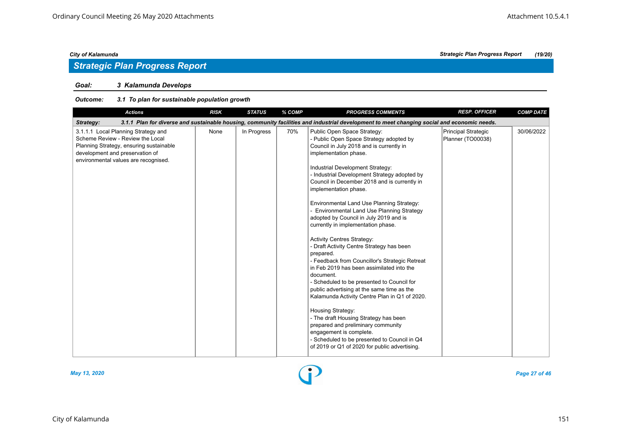## *Strategic Plan Progress Report*

### *Goal: 3 Kalamunda Develops*

#### *Outcome: 3.1 To plan for sustainable population growth*

| <b>Actions</b>                                                                                                                                                                                | <b>RISK</b> | <b>STATUS</b> | % COMP | <b>PROGRESS COMMENTS</b>                                                                                                                                                                                                                                                                                                                                                                                                                                                                                                                                                                                                                                                                                                                                                                                                                                                                                                                                                                                                                                                    | <b>RESP. OFFICER</b>                     | <b>COMP DATE</b> |
|-----------------------------------------------------------------------------------------------------------------------------------------------------------------------------------------------|-------------|---------------|--------|-----------------------------------------------------------------------------------------------------------------------------------------------------------------------------------------------------------------------------------------------------------------------------------------------------------------------------------------------------------------------------------------------------------------------------------------------------------------------------------------------------------------------------------------------------------------------------------------------------------------------------------------------------------------------------------------------------------------------------------------------------------------------------------------------------------------------------------------------------------------------------------------------------------------------------------------------------------------------------------------------------------------------------------------------------------------------------|------------------------------------------|------------------|
| Strategy:                                                                                                                                                                                     |             |               |        | 3.1.1 Plan for diverse and sustainable housing, community facilities and industrial development to meet changing social and economic needs.                                                                                                                                                                                                                                                                                                                                                                                                                                                                                                                                                                                                                                                                                                                                                                                                                                                                                                                                 |                                          |                  |
| 3.1.1.1 Local Planning Strategy and<br>Scheme Review - Review the Local<br>Planning Strategy, ensuring sustainable<br>development and preservation of<br>environmental values are recognised. | None        | In Progress   | 70%    | Public Open Space Strategy:<br>- Public Open Space Strategy adopted by<br>Council in July 2018 and is currently in<br>implementation phase.<br>Industrial Development Strategy:<br>- Industrial Development Strategy adopted by<br>Council in December 2018 and is currently in<br>implementation phase.<br>Environmental Land Use Planning Strategy:<br>- Environmental Land Use Planning Strategy<br>adopted by Council in July 2019 and is<br>currently in implementation phase.<br><b>Activity Centres Strategy:</b><br>- Draft Activity Centre Strategy has been<br>prepared.<br>- Feedback from Councillor's Strategic Retreat<br>in Feb 2019 has been assimilated into the<br>document.<br>- Scheduled to be presented to Council for<br>public advertising at the same time as the<br>Kalamunda Activity Centre Plan in Q1 of 2020.<br>Housing Strategy:<br>- The draft Housing Strategy has been<br>prepared and preliminary community<br>engagement is complete.<br>- Scheduled to be presented to Council in Q4<br>of 2019 or Q1 of 2020 for public advertising. | Principal Strategic<br>Planner (TO00038) | 30/06/2022       |



*May 13, 2020 Page 27 of 46*

*City of Kalamunda Strategic Plan Progress Report (19/20)*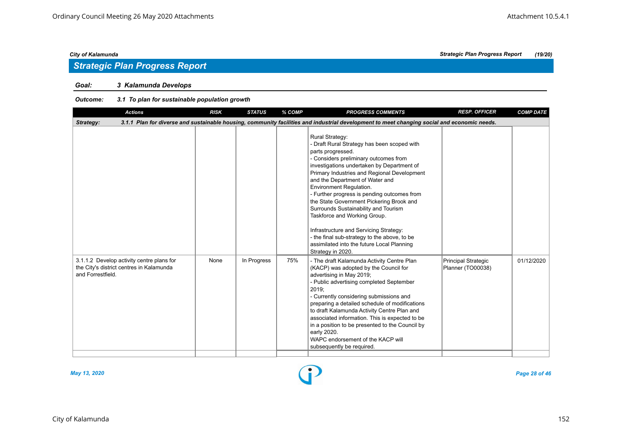## *Strategic Plan Progress Report*

### *Goal: 3 Kalamunda Develops*

#### *Outcome: 3.1 To plan for sustainable population growth*

| <b>Actions</b>                                                                                                                                           | <b>RISK</b> | <b>STATUS</b> | % COMP | <b>PROGRESS COMMENTS</b>                                                                                                                                                                                                                                                                                                                                                                                                                                                                                                                                                                                                | <b>RESP. OFFICER</b>                     | <b>COMP DATE</b> |  |  |  |  |
|----------------------------------------------------------------------------------------------------------------------------------------------------------|-------------|---------------|--------|-------------------------------------------------------------------------------------------------------------------------------------------------------------------------------------------------------------------------------------------------------------------------------------------------------------------------------------------------------------------------------------------------------------------------------------------------------------------------------------------------------------------------------------------------------------------------------------------------------------------------|------------------------------------------|------------------|--|--|--|--|
| 3.1.1 Plan for diverse and sustainable housing, community facilities and industrial development to meet changing social and economic needs.<br>Strategy: |             |               |        |                                                                                                                                                                                                                                                                                                                                                                                                                                                                                                                                                                                                                         |                                          |                  |  |  |  |  |
|                                                                                                                                                          |             |               |        | Rural Strategy:<br>- Draft Rural Strategy has been scoped with<br>parts progressed.<br>- Considers preliminary outcomes from<br>investigations undertaken by Department of<br>Primary Industries and Regional Development<br>and the Department of Water and<br>Environment Regulation.<br>- Further progress is pending outcomes from<br>the State Government Pickering Brook and<br>Surrounds Sustainability and Tourism<br>Taskforce and Working Group.<br>Infrastructure and Servicing Strategy:<br>- the final sub-strategy to the above, to be<br>assimilated into the future Local Planning<br>Strategy in 2020. |                                          |                  |  |  |  |  |
| 3.1.1.2 Develop activity centre plans for<br>the City's district centres in Kalamunda<br>and Forrestfield.                                               | None        | In Progress   | 75%    | - The draft Kalamunda Activity Centre Plan<br>(KACP) was adopted by the Council for<br>advertising in May 2019;<br>- Public advertising completed September<br>2019;<br>- Currently considering submissions and<br>preparing a detailed schedule of modifications<br>to draft Kalamunda Activity Centre Plan and<br>associated information. This is expected to be<br>in a position to be presented to the Council by<br>early 2020.<br>WAPC endorsement of the KACP will<br>subsequently be required.                                                                                                                  | Principal Strategic<br>Planner (TO00038) | 01/12/2020       |  |  |  |  |

*May 13, 2020 Page 28 of 46*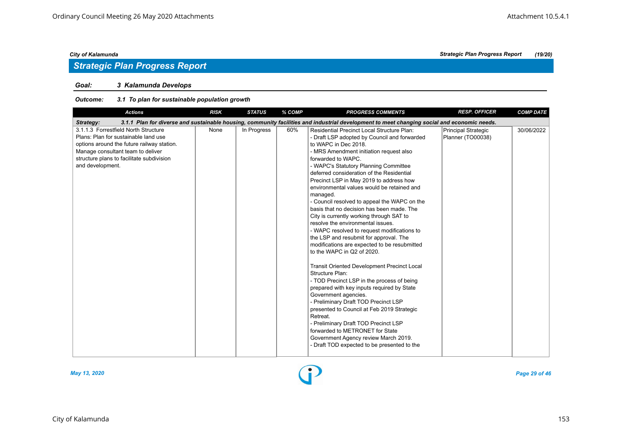## *Strategic Plan Progress Report*

### *Goal: 3 Kalamunda Develops*

#### *Outcome: 3.1 To plan for sustainable population growth*

| <b>Actions</b>                                                                                                                                                                                                                   | <b>RISK</b> | <b>STATUS</b> | % COMP | <b>PROGRESS COMMENTS</b>                                                                                                                                                                                                                                                                                                                                                                                                                                                                                                                                                                                                                                                                                                                                                                                                                                                                                                                                                                                                                                                                                                                                                                                    | <b>RESP. OFFICER</b>                     | <b>COMP DATE</b> |
|----------------------------------------------------------------------------------------------------------------------------------------------------------------------------------------------------------------------------------|-------------|---------------|--------|-------------------------------------------------------------------------------------------------------------------------------------------------------------------------------------------------------------------------------------------------------------------------------------------------------------------------------------------------------------------------------------------------------------------------------------------------------------------------------------------------------------------------------------------------------------------------------------------------------------------------------------------------------------------------------------------------------------------------------------------------------------------------------------------------------------------------------------------------------------------------------------------------------------------------------------------------------------------------------------------------------------------------------------------------------------------------------------------------------------------------------------------------------------------------------------------------------------|------------------------------------------|------------------|
| Strategy:                                                                                                                                                                                                                        |             |               |        | 3.1.1 Plan for diverse and sustainable housing, community facilities and industrial development to meet changing social and economic needs.                                                                                                                                                                                                                                                                                                                                                                                                                                                                                                                                                                                                                                                                                                                                                                                                                                                                                                                                                                                                                                                                 |                                          |                  |
| 3.1.1.3 Forrestfield North Structure<br>Plans: Plan for sustainable land use<br>options around the future railway station.<br>Manage consultant team to deliver<br>structure plans to facilitate subdivision<br>and development. | None        | In Progress   | 60%    | <b>Residential Precinct Local Structure Plan:</b><br>- Draft LSP adopted by Council and forwarded<br>to WAPC in Dec 2018.<br>- MRS Amendment initiation request also<br>forwarded to WAPC.<br>- WAPC's Statutory Planning Committee<br>deferred consideration of the Residential<br>Precinct LSP in May 2019 to address how<br>environmental values would be retained and<br>managed.<br>- Council resolved to appeal the WAPC on the<br>basis that no decision has been made. The<br>City is currently working through SAT to<br>resolve the environmental issues.<br>- WAPC resolved to request modifications to<br>the LSP and resubmit for approval. The<br>modifications are expected to be resubmitted<br>to the WAPC in Q2 of 2020.<br><b>Transit Oriented Development Precinct Local</b><br>Structure Plan:<br>- TOD Precinct LSP in the process of being<br>prepared with key inputs required by State<br>Government agencies.<br>- Preliminary Draft TOD Precinct LSP<br>presented to Council at Feb 2019 Strategic<br>Retreat.<br>- Preliminary Draft TOD Precinct LSP<br>forwarded to METRONET for State<br>Government Agency review March 2019.<br>- Draft TOD expected to be presented to the | Principal Strategic<br>Planner (TO00038) | 30/06/2022       |



*May 13, 2020 Page 29 of 46*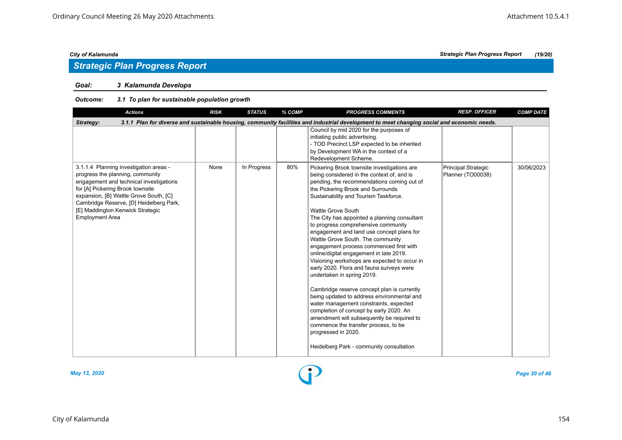## *Strategic Plan Progress Report*

#### *Goal: 3 Kalamunda Develops*

#### *Outcome: 3.1 To plan for sustainable population growth*

| <b>Actions</b>                                                                                                                                                                                                                                                                                               | <b>RISK</b> | <b>STATUS</b> | % COMP | <b>PROGRESS COMMENTS</b>                                                                                                                                                                                                                                                                                                                                                                                                                                                                                                                                                                                                                                                                                                                                                                                                                                                                                                                                                        | <b>RESP. OFFICER</b>                     | <b>COMP DATE</b> |  |  |  |  |
|--------------------------------------------------------------------------------------------------------------------------------------------------------------------------------------------------------------------------------------------------------------------------------------------------------------|-------------|---------------|--------|---------------------------------------------------------------------------------------------------------------------------------------------------------------------------------------------------------------------------------------------------------------------------------------------------------------------------------------------------------------------------------------------------------------------------------------------------------------------------------------------------------------------------------------------------------------------------------------------------------------------------------------------------------------------------------------------------------------------------------------------------------------------------------------------------------------------------------------------------------------------------------------------------------------------------------------------------------------------------------|------------------------------------------|------------------|--|--|--|--|
| 3.1.1 Plan for diverse and sustainable housing, community facilities and industrial development to meet changing social and economic needs.<br>Strategy:                                                                                                                                                     |             |               |        |                                                                                                                                                                                                                                                                                                                                                                                                                                                                                                                                                                                                                                                                                                                                                                                                                                                                                                                                                                                 |                                          |                  |  |  |  |  |
|                                                                                                                                                                                                                                                                                                              |             |               |        | Council by mid 2020 for the purposes of<br>initiating public advertising.<br>- TOD Precinct LSP expected to be inherited<br>by Development WA in the context of a<br>Redevelopment Scheme.                                                                                                                                                                                                                                                                                                                                                                                                                                                                                                                                                                                                                                                                                                                                                                                      |                                          |                  |  |  |  |  |
| 3.1.1.4 Planning investigation areas -<br>progress the planning, community<br>engagement and technical investigations<br>for [A] Pickering Brook townsite<br>expansion, [B] Wattle Grove South, [C]<br>Cambridge Reserve, [D] Heidelberg Park,<br>[E] Maddington Kenwick Strategic<br><b>Employment Area</b> | None        | In Progress   | 80%    | Pickering Brook townsite investigations are<br>being considered in the context of, and is<br>pending, the recommendations coming out of<br>the Pickering Brook and Surrounds<br>Sustainability and Tourism Taskforce.<br>Wattle Grove South<br>The City has appointed a planning consultant<br>to progress comprehensive community<br>engagement and land use concept plans for<br>Wattle Grove South. The community<br>engagement process commenced first with<br>online/digital engagement in late 2019.<br>Visioning workshops are expected to occur in<br>early 2020. Flora and fauna surveys were<br>undertaken in spring 2019.<br>Cambridge reserve concept plan is currently<br>being updated to address environmental and<br>water management constraints, expected<br>completion of concept by early 2020. An<br>amendment will subsequently be required to<br>commence the transfer process, to be<br>progressed in 2020.<br>Heidelberg Park - community consultation | Principal Strategic<br>Planner (TO00038) | 30/06/2023       |  |  |  |  |

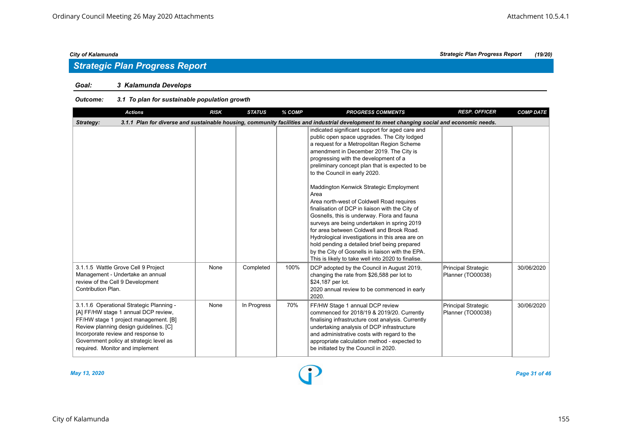## *Strategic Plan Progress Report*

### *Goal: 3 Kalamunda Develops*

#### *Outcome: 3.1 To plan for sustainable population growth*

| <b>Actions</b>                                                                                                                                                                                                                                                                          | <b>RISK</b> | <b>STATUS</b> | % COMP | <b>PROGRESS COMMENTS</b>                                                                                                                                                                                                                                                                                                                                                                                                                                                                                                                                                                                                                                                                                                                                                                                                        | <b>RESP. OFFICER</b>                            | <b>COMP DATE</b> |  |  |  |
|-----------------------------------------------------------------------------------------------------------------------------------------------------------------------------------------------------------------------------------------------------------------------------------------|-------------|---------------|--------|---------------------------------------------------------------------------------------------------------------------------------------------------------------------------------------------------------------------------------------------------------------------------------------------------------------------------------------------------------------------------------------------------------------------------------------------------------------------------------------------------------------------------------------------------------------------------------------------------------------------------------------------------------------------------------------------------------------------------------------------------------------------------------------------------------------------------------|-------------------------------------------------|------------------|--|--|--|
| 3.1.1 Plan for diverse and sustainable housing, community facilities and industrial development to meet changing social and economic needs.<br>Strategy:                                                                                                                                |             |               |        |                                                                                                                                                                                                                                                                                                                                                                                                                                                                                                                                                                                                                                                                                                                                                                                                                                 |                                                 |                  |  |  |  |
|                                                                                                                                                                                                                                                                                         |             |               |        | indicated significant support for aged care and<br>public open space upgrades. The City lodged<br>a request for a Metropolitan Region Scheme<br>amendment in December 2019. The City is<br>progressing with the development of a<br>preliminary concept plan that is expected to be<br>to the Council in early 2020.<br>Maddington Kenwick Strategic Employment<br>Area<br>Area north-west of Coldwell Road requires<br>finalisation of DCP in liaison with the City of<br>Gosnells, this is underway. Flora and fauna<br>surveys are being undertaken in spring 2019<br>for area between Coldwell and Brook Road.<br>Hydrological investigations in this area are on<br>hold pending a detailed brief being prepared<br>by the City of Gosnells in liaison with the EPA.<br>This is likely to take well into 2020 to finalise. |                                                 |                  |  |  |  |
| 3.1.1.5 Wattle Grove Cell 9 Project<br>Management - Undertake an annual<br>review of the Cell 9 Development<br>Contribution Plan.                                                                                                                                                       | None        | Completed     | 100%   | DCP adopted by the Council in August 2019,<br>changing the rate from \$26,588 per lot to<br>\$24,187 per lot.<br>2020 annual review to be commenced in early<br>2020.                                                                                                                                                                                                                                                                                                                                                                                                                                                                                                                                                                                                                                                           | <b>Principal Strategic</b><br>Planner (TO00038) | 30/06/2020       |  |  |  |
| 3.1.1.6 Operational Strategic Planning -<br>[A] FF/HW stage 1 annual DCP review,<br>FF/HW stage 1 project management. [B]<br>Review planning design guidelines. [C]<br>Incorporate review and response to<br>Government policy at strategic level as<br>required. Monitor and implement | None        | In Progress   | 70%    | FF/HW Stage 1 annual DCP review<br>commenced for 2018/19 & 2019/20. Currently<br>finalising infrastructure cost analysis. Currently<br>undertaking analysis of DCP infrastructure<br>and administrative costs with regard to the<br>appropriate calculation method - expected to<br>be initiated by the Council in 2020.                                                                                                                                                                                                                                                                                                                                                                                                                                                                                                        | Principal Strategic<br>Planner (TO00038)        | 30/06/2020       |  |  |  |



*May 13, 2020 Page 31 of 46*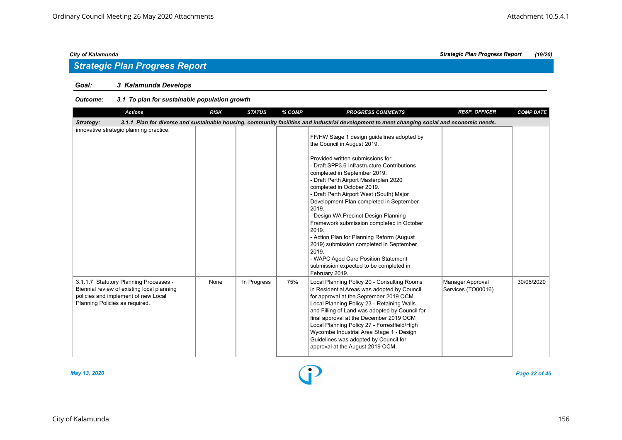## *Strategic Plan Progress Report*

### *Goal: 3 Kalamunda Develops*

#### *Outcome: 3.1 To plan for sustainable population growth*

| <b>Actions</b>                                                                                                                                                | <b>RISK</b> | <b>STATUS</b> | % COMP | <b>PROGRESS COMMENTS</b>                                                                                                                                                                                                                                                                                                                                                                                                                                                                                                                                                                                                                                               | <b>RESP. OFFICER</b>                   | <b>COMP DATE</b> |
|---------------------------------------------------------------------------------------------------------------------------------------------------------------|-------------|---------------|--------|------------------------------------------------------------------------------------------------------------------------------------------------------------------------------------------------------------------------------------------------------------------------------------------------------------------------------------------------------------------------------------------------------------------------------------------------------------------------------------------------------------------------------------------------------------------------------------------------------------------------------------------------------------------------|----------------------------------------|------------------|
| Strategy:                                                                                                                                                     |             |               |        | 3.1.1 Plan for diverse and sustainable housing, community facilities and industrial development to meet changing social and economic needs.                                                                                                                                                                                                                                                                                                                                                                                                                                                                                                                            |                                        |                  |
| innovative strategic planning practice.                                                                                                                       |             |               |        | FF/HW Stage 1 design guidelines adopted by<br>the Council in August 2019.<br>Provided written submissions for:<br>- Draft SPP3.6 Infrastructure Contributions<br>completed in September 2019.<br>- Draft Perth Airport Masterplan 2020<br>completed in October 2019.<br>- Draft Perth Airport West (South) Major<br>Development Plan completed in September<br>2019.<br>- Design WA Precinct Design Planning<br>Framework submission completed in October<br>2019.<br>- Action Plan for Planning Reform (August<br>2019) submission completed in September<br>2019.<br>- WAPC Aged Care Position Statement<br>submission expected to be completed in<br>February 2019. |                                        |                  |
| 3.1.1.7 Statutory Planning Processes -<br>Biennial review of existing local planning<br>policies and implement of new Local<br>Planning Policies as required. | None        | In Progress   | 75%    | Local Planning Policy 20 - Consulting Rooms<br>in Residential Areas was adopted by Council<br>for approval at the September 2019 OCM.<br>Local Planning Policy 23 - Retaining Walls<br>and Filling of Land was adopted by Council for<br>final approval at the December 2019 OCM<br>Local Planning Policy 27 - Forrestfield/High<br>Wycombe Industrial Area Stage 1 - Design<br>Guidelines was adopted by Council for<br>approval at the August 2019 OCM.                                                                                                                                                                                                              | Manager Approval<br>Services (TO00016) | 30/06/2020       |



*May 13, 2020 Page 32 of 46*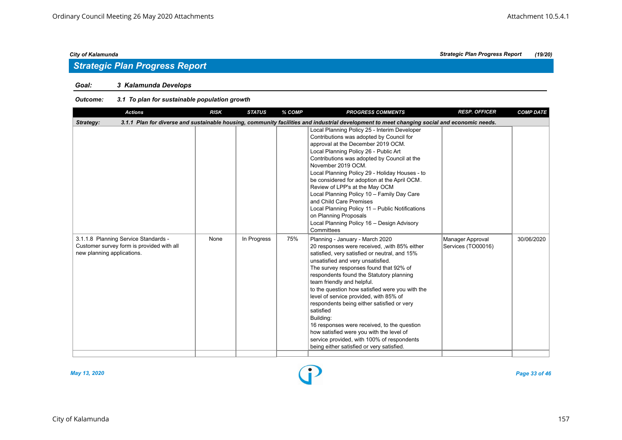## *Strategic Plan Progress Report*

### *Goal: 3 Kalamunda Develops*

#### *Outcome: 3.1 To plan for sustainable population growth*

| <b>Actions</b>                                                                                                  | <b>RISK</b> | <b>STATUS</b> | % COMP | <b>PROGRESS COMMENTS</b>                                                                                                                                                                                                                                                                                                                                                                                                                                                                                                                                                                                                                              | <b>RESP. OFFICER</b>                   | <b>COMP DATE</b> |
|-----------------------------------------------------------------------------------------------------------------|-------------|---------------|--------|-------------------------------------------------------------------------------------------------------------------------------------------------------------------------------------------------------------------------------------------------------------------------------------------------------------------------------------------------------------------------------------------------------------------------------------------------------------------------------------------------------------------------------------------------------------------------------------------------------------------------------------------------------|----------------------------------------|------------------|
| Strategy:                                                                                                       |             |               |        | 3.1.1 Plan for diverse and sustainable housing, community facilities and industrial development to meet changing social and economic needs.                                                                                                                                                                                                                                                                                                                                                                                                                                                                                                           |                                        |                  |
|                                                                                                                 |             |               |        | Local Planning Policy 25 - Interim Developer<br>Contributions was adopted by Council for<br>approval at the December 2019 OCM.<br>Local Planning Policy 26 - Public Art<br>Contributions was adopted by Council at the<br>November 2019 OCM.<br>Local Planning Policy 29 - Holiday Houses - to<br>be considered for adoption at the April OCM.<br>Review of LPP's at the May OCM<br>Local Planning Policy 10 - Family Day Care<br>and Child Care Premises<br>Local Planning Policy 11 - Public Notifications<br>on Planning Proposals<br>Local Planning Policy 16 - Design Advisory<br>Committees                                                     |                                        |                  |
| 3.1.1.8 Planning Service Standards -<br>Customer survey form is provided with all<br>new planning applications. | None        | In Progress   | 75%    | Planning - January - March 2020<br>20 responses were received, , with 85% either<br>satisfied, very satisfied or neutral, and 15%<br>unsatisfied and very unsatisfied.<br>The survey responses found that 92% of<br>respondents found the Statutory planning<br>team friendly and helpful.<br>to the question how satisfied were you with the<br>level of service provided, with 85% of<br>respondents being either satisfied or very<br>satisfied<br>Building:<br>16 responses were received, to the question<br>how satisfied were you with the level of<br>service provided, with 100% of respondents<br>being either satisfied or very satisfied. | Manager Approval<br>Services (TO00016) | 30/06/2020       |



*May 13, 2020 Page 33 of 46*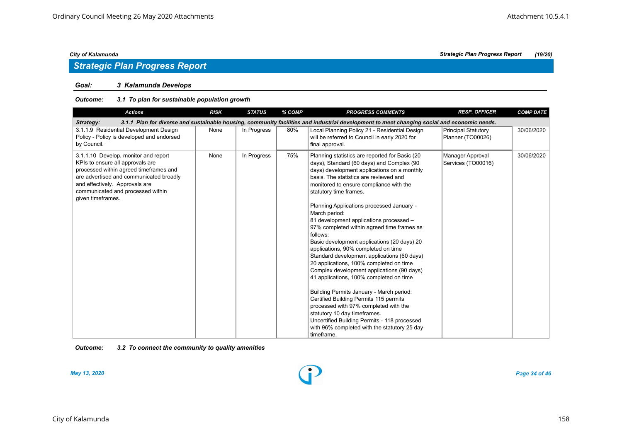# *Strategic Plan Progress Report*

#### *Goal: 3 Kalamunda Develops*

#### *Outcome: 3.1 To plan for sustainable population growth*

| <b>Actions</b>                                                                                                                                                                                                                                            | <b>RISK</b> | <b>STATUS</b> | % COMP | <b>PROGRESS COMMENTS</b>                                                                                                                                                                                                                                                                                                                                                                                                                                                                                                                                                                                                                                                                                                                                                                                                                                                                                                                                                            | <b>RESP. OFFICER</b>                     | <b>COMP DATE</b> |  |  |  |  |
|-----------------------------------------------------------------------------------------------------------------------------------------------------------------------------------------------------------------------------------------------------------|-------------|---------------|--------|-------------------------------------------------------------------------------------------------------------------------------------------------------------------------------------------------------------------------------------------------------------------------------------------------------------------------------------------------------------------------------------------------------------------------------------------------------------------------------------------------------------------------------------------------------------------------------------------------------------------------------------------------------------------------------------------------------------------------------------------------------------------------------------------------------------------------------------------------------------------------------------------------------------------------------------------------------------------------------------|------------------------------------------|------------------|--|--|--|--|
| 3.1.1 Plan for diverse and sustainable housing, community facilities and industrial development to meet changing social and economic needs.<br>Strategy:                                                                                                  |             |               |        |                                                                                                                                                                                                                                                                                                                                                                                                                                                                                                                                                                                                                                                                                                                                                                                                                                                                                                                                                                                     |                                          |                  |  |  |  |  |
| 3.1.1.9 Residential Development Design<br>Policy - Policy is developed and endorsed<br>by Council.                                                                                                                                                        | None        | In Progress   | 80%    | Local Planning Policy 21 - Residential Design<br>will be referred to Council in early 2020 for<br>final approval.                                                                                                                                                                                                                                                                                                                                                                                                                                                                                                                                                                                                                                                                                                                                                                                                                                                                   | Principal Statutory<br>Planner (TO00026) | 30/06/2020       |  |  |  |  |
| 3.1.1.10 Develop, monitor and report<br>KPIs to ensure all approvals are<br>processed within agreed timeframes and<br>are advertised and communicated broadly<br>and effectively. Approvals are<br>communicated and processed within<br>given timeframes. | None        | In Progress   | 75%    | Planning statistics are reported for Basic (20)<br>days), Standard (60 days) and Complex (90<br>days) development applications on a monthly<br>basis. The statistics are reviewed and<br>monitored to ensure compliance with the<br>statutory time frames.<br>Planning Applications processed January -<br>March period:<br>81 development applications processed -<br>97% completed within agreed time frames as<br>follows:<br>Basic development applications (20 days) 20<br>applications, 90% completed on time<br>Standard development applications (60 days)<br>20 applications, 100% completed on time<br>Complex development applications (90 days)<br>41 applications, 100% completed on time<br>Building Permits January - March period:<br>Certified Building Permits 115 permits<br>processed with 97% completed with the<br>statutory 10 day timeframes.<br>Uncertified Building Permits - 118 processed<br>with 96% completed with the statutory 25 day<br>timeframe. | Manager Approval<br>Services (TO00016)   | 30/06/2020       |  |  |  |  |

#### *Outcome: 3.2 To connect the community to quality amenities*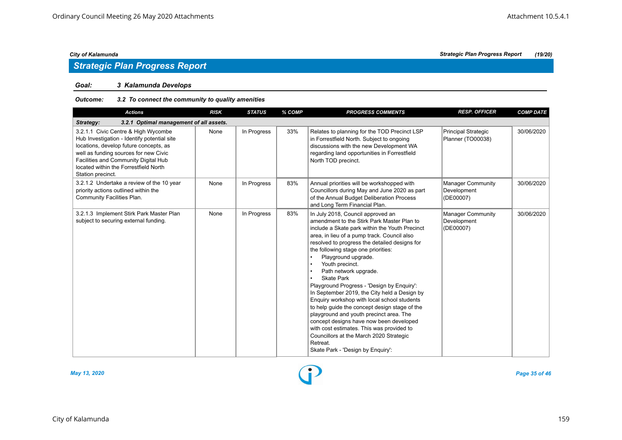## *Strategic Plan Progress Report*

#### *Goal: 3 Kalamunda Develops*

#### *Outcome: 3.2 To connect the community to quality amenities*

| <b>Actions</b>                                                                                                                                                                                                                                                              | <b>RISK</b> | <b>STATUS</b> | % COMP | <b>PROGRESS COMMENTS</b>                                                                                                                                                                                                                                                                                                                                                                                                                                                                                                                                                                                                                                                                                                                                                                                                             | <b>RESP. OFFICER</b>                                 | <b>COMP DATE</b> |  |  |  |  |
|-----------------------------------------------------------------------------------------------------------------------------------------------------------------------------------------------------------------------------------------------------------------------------|-------------|---------------|--------|--------------------------------------------------------------------------------------------------------------------------------------------------------------------------------------------------------------------------------------------------------------------------------------------------------------------------------------------------------------------------------------------------------------------------------------------------------------------------------------------------------------------------------------------------------------------------------------------------------------------------------------------------------------------------------------------------------------------------------------------------------------------------------------------------------------------------------------|------------------------------------------------------|------------------|--|--|--|--|
| Strategy:<br>3.2.1 Optimal management of all assets.                                                                                                                                                                                                                        |             |               |        |                                                                                                                                                                                                                                                                                                                                                                                                                                                                                                                                                                                                                                                                                                                                                                                                                                      |                                                      |                  |  |  |  |  |
| 3.2.1.1 Civic Centre & High Wycombe<br>Hub Investigation - Identify potential site<br>locations, develop future concepts, as<br>well as funding sources for new Civic<br>Facilities and Community Digital Hub<br>located within the Forrestfield North<br>Station precinct. | None        | In Progress   | 33%    | Relates to planning for the TOD Precinct LSP<br>in Forrestfield North. Subject to ongoing<br>discussions with the new Development WA<br>regarding land opportunities in Forrestfield<br>North TOD precinct.                                                                                                                                                                                                                                                                                                                                                                                                                                                                                                                                                                                                                          | Principal Strategic<br>Planner (TO00038)             | 30/06/2020       |  |  |  |  |
| 3.2.1.2 Undertake a review of the 10 year<br>priority actions outlined within the<br>Community Facilities Plan.                                                                                                                                                             | None        | In Progress   | 83%    | Annual priorities will be workshopped with<br>Councillors during May and June 2020 as part<br>of the Annual Budget Deliberation Process<br>and Long Term Financial Plan.                                                                                                                                                                                                                                                                                                                                                                                                                                                                                                                                                                                                                                                             | <b>Manager Community</b><br>Development<br>(DE00007) | 30/06/2020       |  |  |  |  |
| 3.2.1.3 Implement Stirk Park Master Plan<br>subject to securing external funding.                                                                                                                                                                                           | None        | In Progress   | 83%    | In July 2018, Council approved an<br>amendment to the Stirk Park Master Plan to<br>include a Skate park within the Youth Precinct<br>area, in lieu of a pump track. Council also<br>resolved to progress the detailed designs for<br>the following stage one priorities:<br>Playground upgrade.<br>Youth precinct.<br>$\bullet$<br>Path network upgrade.<br>$\bullet$<br><b>Skate Park</b><br>$\bullet$<br>Playground Progress - 'Design by Enquiry':<br>In September 2019, the City held a Design by<br>Enquiry workshop with local school students<br>to help quide the concept design stage of the<br>playground and youth precinct area. The<br>concept designs have now been developed<br>with cost estimates. This was provided to<br>Councillors at the March 2020 Strategic<br>Retreat.<br>Skate Park - 'Design by Enquiry': | <b>Manager Community</b><br>Development<br>(DE00007) | 30/06/2020       |  |  |  |  |



*May 13, 2020 Page 35 of 46*

*City of Kalamunda Strategic Plan Progress Report (19/20)*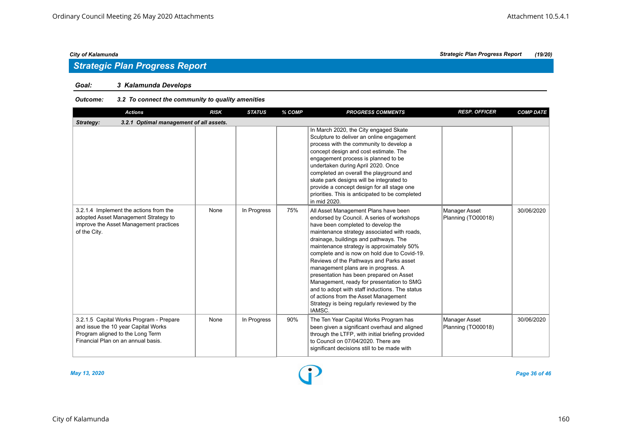## *Strategic Plan Progress Report*

#### *Goal: 3 Kalamunda Develops*

#### *Outcome: 3.2 To connect the community to quality amenities*

| <b>Actions</b>                                                                                                                                           | <b>RISK</b> | <b>STATUS</b> | % COMP | <b>PROGRESS COMMENTS</b>                                                                                                                                                                                                                                                                                                                                                                                                                                                                                                                                                                                                                   | <b>RESP. OFFICER</b>                | <b>COMP DATE</b> |  |  |  |  |
|----------------------------------------------------------------------------------------------------------------------------------------------------------|-------------|---------------|--------|--------------------------------------------------------------------------------------------------------------------------------------------------------------------------------------------------------------------------------------------------------------------------------------------------------------------------------------------------------------------------------------------------------------------------------------------------------------------------------------------------------------------------------------------------------------------------------------------------------------------------------------------|-------------------------------------|------------------|--|--|--|--|
| Strategy:<br>3.2.1 Optimal management of all assets.                                                                                                     |             |               |        |                                                                                                                                                                                                                                                                                                                                                                                                                                                                                                                                                                                                                                            |                                     |                  |  |  |  |  |
|                                                                                                                                                          |             |               |        | In March 2020, the City engaged Skate<br>Sculpture to deliver an online engagement<br>process with the community to develop a<br>concept design and cost estimate. The<br>engagement process is planned to be<br>undertaken during April 2020. Once<br>completed an overall the playground and<br>skate park designs will be integrated to<br>provide a concept design for all stage one<br>priorities. This is anticipated to be completed<br>in mid 2020.                                                                                                                                                                                |                                     |                  |  |  |  |  |
| 3.2.1.4 Implement the actions from the<br>adopted Asset Management Strategy to<br>improve the Asset Management practices<br>of the City.                 | None        | In Progress   | 75%    | All Asset Management Plans have been<br>endorsed by Council. A series of workshops<br>have been completed to develop the<br>maintenance strategy associated with roads,<br>drainage, buildings and pathways. The<br>maintenance strategy is approximately 50%<br>complete and is now on hold due to Covid-19.<br>Reviews of the Pathways and Parks asset<br>management plans are in progress. A<br>presentation has been prepared on Asset<br>Management, ready for presentation to SMG<br>and to adopt with staff inductions. The status<br>of actions from the Asset Management<br>Strategy is being regularly reviewed by the<br>IAMSC. | Manager Asset<br>Planning (TO00018) | 30/06/2020       |  |  |  |  |
| 3.2.1.5 Capital Works Program - Prepare<br>and issue the 10 year Capital Works<br>Program aligned to the Long Term<br>Financial Plan on an annual basis. | None        | In Progress   | 90%    | The Ten Year Capital Works Program has<br>been given a significant overhaul and aligned<br>through the LTFP, with initial briefing provided<br>to Council on 07/04/2020. There are<br>significant decisions still to be made with                                                                                                                                                                                                                                                                                                                                                                                                          | Manager Asset<br>Planning (TO00018) | 30/06/2020       |  |  |  |  |

*May 13, 2020 Page 36 of 46*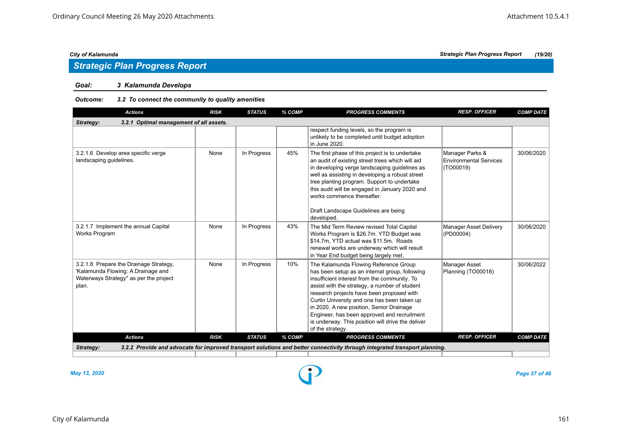## *Strategic Plan Progress Report*

#### *Goal: 3 Kalamunda Develops*

#### *Outcome: 3.2 To connect the community to quality amenities*

| <b>Actions</b>                                                                                                                  | <b>RISK</b> | <b>STATUS</b> | % COMP | <b>PROGRESS COMMENTS</b>                                                                                                                                                                                                                                                                                                                                                                                                                                 | <b>RESP. OFFICER</b>                                          | <b>COMP DATE</b> |  |  |  |
|---------------------------------------------------------------------------------------------------------------------------------|-------------|---------------|--------|----------------------------------------------------------------------------------------------------------------------------------------------------------------------------------------------------------------------------------------------------------------------------------------------------------------------------------------------------------------------------------------------------------------------------------------------------------|---------------------------------------------------------------|------------------|--|--|--|
| 3.2.1 Optimal management of all assets.<br>Strategy:                                                                            |             |               |        |                                                                                                                                                                                                                                                                                                                                                                                                                                                          |                                                               |                  |  |  |  |
|                                                                                                                                 |             |               |        | respect funding levels, so the program is<br>unlikely to be completed until budget adoption<br>in June 2020.                                                                                                                                                                                                                                                                                                                                             |                                                               |                  |  |  |  |
| 3.2.1.6 Develop area specific verge<br>landscaping guidelines.                                                                  | None        | In Progress   | 45%    | The first phase of this project is to undertake<br>an audit of existing street trees which will aid<br>in developing verge landscaping guidelines as<br>well as assisting in developing a robust street<br>tree planting program. Support to undertake<br>this audit will be engaged in January 2020 and<br>works commence thereafter.<br>Draft Landscape Guidelines are being<br>developed.                                                             | Manager Parks &<br><b>Environmental Services</b><br>(TO00019) | 30/06/2020       |  |  |  |
| 3.2.1.7 Implement the annual Capital<br>Works Program                                                                           | None        | In Progress   | 43%    | The Mid Term Review revised Total Capital<br>Works Program is \$26.7m. YTD Budget was<br>\$14.7m, YTD actual was \$11.5m. Roads<br>renewal works are underway which will result<br>in Year End budget being largely met.                                                                                                                                                                                                                                 | Manager Asset Delivery<br>(PD00004)                           | 30/06/2020       |  |  |  |
| 3.2.1.8 Prepare the Drainage Strategy,<br>'Kalamunda Flowing: A Drainage and<br>Waterways Strategy" as per the project<br>plan. | None        | In Progress   | 10%    | The Kalamunda Flowing Reference Group<br>has been setup as an internal group, following<br>insufficient interest from the community. To<br>assist with the strategy, a number of student<br>research projects have been proposed with<br>Curtin University and one has been taken up<br>in 2020. A new position, Senior Drainage<br>Engineer, has been approved and recruitment<br>is underway. This position will drive the deliver<br>of the strategy. | Manager Asset<br>Planning (TO00018)                           | 30/06/2022       |  |  |  |
| <b>Actions</b>                                                                                                                  | <b>RISK</b> | <b>STATUS</b> | % COMP | <b>PROGRESS COMMENTS</b>                                                                                                                                                                                                                                                                                                                                                                                                                                 | <b>RESP. OFFICER</b>                                          | <b>COMP DATE</b> |  |  |  |
| Strategy:                                                                                                                       |             |               |        | 3.2.2 Provide and advocate for improved transport solutions and better connectivity through integrated transport planning.                                                                                                                                                                                                                                                                                                                               |                                                               |                  |  |  |  |
|                                                                                                                                 |             |               |        |                                                                                                                                                                                                                                                                                                                                                                                                                                                          |                                                               |                  |  |  |  |

*May 13, 2020 Page 37 of 46*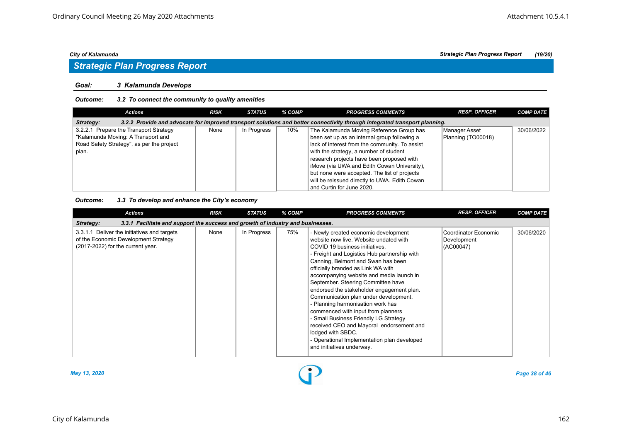## *Strategic Plan Progress Report*

#### *Goal: 3 Kalamunda Develops*

#### *Outcome: 3.2 To connect the community to quality amenities*

| <b>Actions</b>                                                                                                                          | <b>RISK</b> | STATUS      | % COMP | <b>PROGRESS COMMENTS</b>                       | <b>RESP. OFFICER</b> | <b>COMP DATE</b> |  |  |  |
|-----------------------------------------------------------------------------------------------------------------------------------------|-------------|-------------|--------|------------------------------------------------|----------------------|------------------|--|--|--|
| 3.2.2 Provide and advocate for improved transport solutions and better connectivity through integrated transport planning.<br>Strategy: |             |             |        |                                                |                      |                  |  |  |  |
| 3.2.2.1 Prepare the Transport Strategy                                                                                                  | None        | In Progress | 10%    | The Kalamunda Moving Reference Group has       | Manager Asset        | 30/06/2022       |  |  |  |
| "Kalamunda Moving: A Transport and                                                                                                      |             |             |        | been set up as an internal group following a   | Planning (TO00018)   |                  |  |  |  |
| Road Safety Strategy", as per the project                                                                                               |             |             |        | lack of interest from the community. To assist |                      |                  |  |  |  |
| plan.                                                                                                                                   |             |             |        | with the strategy, a number of student         |                      |                  |  |  |  |
|                                                                                                                                         |             |             |        | research projects have been proposed with      |                      |                  |  |  |  |
|                                                                                                                                         |             |             |        | iMove (via UWA and Edith Cowan University).    |                      |                  |  |  |  |
|                                                                                                                                         |             |             |        | but none were accepted. The list of projects   |                      |                  |  |  |  |
|                                                                                                                                         |             |             |        | will be reissued directly to UWA, Edith Cowan  |                      |                  |  |  |  |
|                                                                                                                                         |             |             |        | and Curtin for June 2020.                      |                      |                  |  |  |  |

#### *Outcome: 3.3 To develop and enhance the City's economy*

| <b>Actions</b>                                                                                                           | <b>RISK</b> | <b>STATUS</b> | % COMP | <b>PROGRESS COMMENTS</b>                                                                                                                                                                                                                                                                                                                                                                                                                                                                                                                                                                                                                                                              | <b>RESP. OFFICER</b>                             | <b>COMP DATE</b> |  |  |  |  |
|--------------------------------------------------------------------------------------------------------------------------|-------------|---------------|--------|---------------------------------------------------------------------------------------------------------------------------------------------------------------------------------------------------------------------------------------------------------------------------------------------------------------------------------------------------------------------------------------------------------------------------------------------------------------------------------------------------------------------------------------------------------------------------------------------------------------------------------------------------------------------------------------|--------------------------------------------------|------------------|--|--|--|--|
| 3.3.1 Facilitate and support the success and growth of industry and businesses.<br>Strategy:                             |             |               |        |                                                                                                                                                                                                                                                                                                                                                                                                                                                                                                                                                                                                                                                                                       |                                                  |                  |  |  |  |  |
| 3.3.1.1 Deliver the initiatives and targets<br>of the Economic Development Strategy<br>(2017-2022) for the current year. | None        | In Progress   | 75%    | - Newly created economic development<br>website now live. Website undated with<br>COVID 19 business initiatives.<br>- Freight and Logistics Hub partnership with<br>Canning, Belmont and Swan has been<br>officially branded as Link WA with<br>accompanying website and media launch in<br>September. Steering Committee have<br>endorsed the stakeholder engagement plan.<br>Communication plan under development.<br>- Planning harmonisation work has<br>commenced with input from planners<br>- Small Business Friendly LG Strategy<br>received CEO and Mayoral endorsement and<br>lodged with SBDC.<br>- Operational Implementation plan developed<br>and initiatives underway. | Coordinator Economic<br>Development<br>(AC00047) | 30/06/2020       |  |  |  |  |



*May 13, 2020 Page 38 of 46*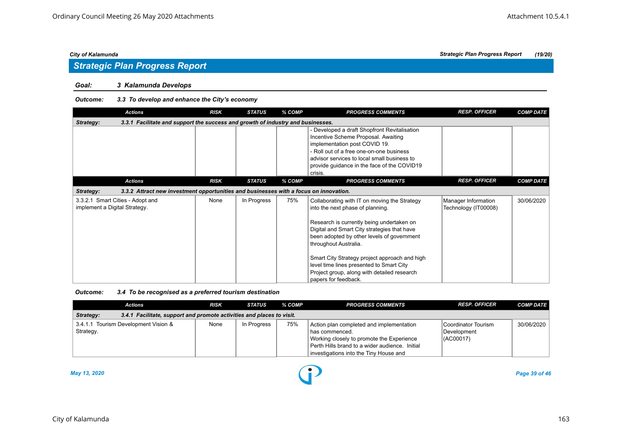# *Strategic Plan Progress Report*

#### *Goal: 3 Kalamunda Develops*

#### *Outcome: 3.3 To develop and enhance the City's economy*

| <b>Actions</b>                                                                                     | <b>RISK</b> | <b>STATUS</b> | % COMP | <b>PROGRESS COMMENTS</b>                                                                                                                                                                                                                                                                                                                                                                                                | <b>RESP. OFFICER</b>                        | <b>COMP DATE</b> |  |  |  |  |
|----------------------------------------------------------------------------------------------------|-------------|---------------|--------|-------------------------------------------------------------------------------------------------------------------------------------------------------------------------------------------------------------------------------------------------------------------------------------------------------------------------------------------------------------------------------------------------------------------------|---------------------------------------------|------------------|--|--|--|--|
| 3.3.1 Facilitate and support the success and growth of industry and businesses.<br>Strategy:       |             |               |        |                                                                                                                                                                                                                                                                                                                                                                                                                         |                                             |                  |  |  |  |  |
|                                                                                                    |             |               |        | - Developed a draft Shopfront Revitalisation<br>Incentive Scheme Proposal. Awaiting<br>implementation post COVID 19.<br>- Roll out of a free one-on-one business<br>advisor services to local small business to<br>provide guidance in the face of the COVID19<br>crisis.                                                                                                                                               |                                             |                  |  |  |  |  |
| <b>Actions</b>                                                                                     | <b>RISK</b> | <b>STATUS</b> | % COMP | <b>PROGRESS COMMENTS</b>                                                                                                                                                                                                                                                                                                                                                                                                | <b>RESP. OFFICER</b>                        | <b>COMP DATE</b> |  |  |  |  |
| 3.3.2 Attract new investment opportunities and businesses with a focus on innovation.<br>Strategy: |             |               |        |                                                                                                                                                                                                                                                                                                                                                                                                                         |                                             |                  |  |  |  |  |
| 3.3.2.1 Smart Cities - Adopt and<br>implement a Digital Strategy.                                  | None        | In Progress   | 75%    | Collaborating with IT on moving the Strategy<br>into the next phase of planning.<br>Research is currently being undertaken on<br>Digital and Smart City strategies that have<br>been adopted by other levels of government<br>throughout Australia.<br>Smart City Strategy project approach and high<br>level time lines presented to Smart City<br>Project group, along with detailed research<br>papers for feedback. | Manager Information<br>Technology (IT00008) | 30/06/2020       |  |  |  |  |

#### *Outcome: 3.4 To be recognised as a preferred tourism destination*

|                                                                                    | <b>Actions</b>                       | <b>RISK</b> | STATUS      | % COMP | <b>PROGRESS COMMENTS</b>                                                                                                                                                                              | <b>RESP. OFFICER</b>                                    | <b>COMP DATE</b> |  |  |  |
|------------------------------------------------------------------------------------|--------------------------------------|-------------|-------------|--------|-------------------------------------------------------------------------------------------------------------------------------------------------------------------------------------------------------|---------------------------------------------------------|------------------|--|--|--|
| 3.4.1 Facilitate, support and promote activities and places to visit.<br>Strategy: |                                      |             |             |        |                                                                                                                                                                                                       |                                                         |                  |  |  |  |
| Strategy.                                                                          | 3.4.1.1 Tourism Development Vision & | None        | In Progress | 75%    | Action plan completed and implementation<br>l has commenced.<br>Working closely to promote the Experience<br>Perth Hills brand to a wider audience. Initial<br>investigations into the Tiny House and | Coordinator Tourism<br>Development<br>$\vert$ (AC00017) | 30/06/2020       |  |  |  |

*May 13, 2020 Page 39 of 46*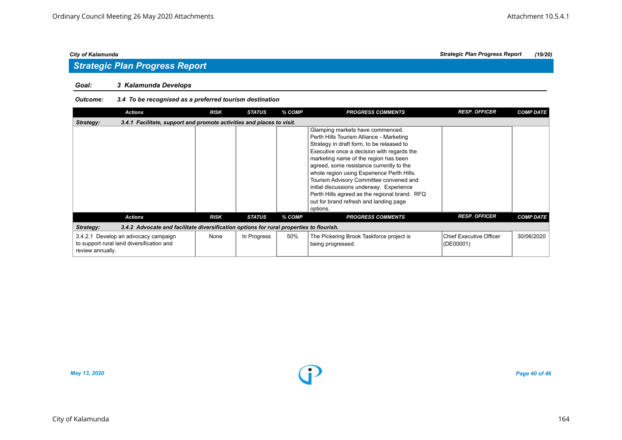## *Strategic Plan Progress Report*

#### *Goal: 3 Kalamunda Develops*

#### *Outcome: 3.4 To be recognised as a preferred tourism destination*

| <b>Actions</b>                                                                                        | <b>RISK</b> | <b>STATUS</b> | % COMP | <b>PROGRESS COMMENTS</b>                                                                                                                                                                                                                                                                                                                                                                                                                                                                                 | <b>RESP. OFFICER</b>                 | <b>COMP DATE</b> |  |  |  |  |
|-------------------------------------------------------------------------------------------------------|-------------|---------------|--------|----------------------------------------------------------------------------------------------------------------------------------------------------------------------------------------------------------------------------------------------------------------------------------------------------------------------------------------------------------------------------------------------------------------------------------------------------------------------------------------------------------|--------------------------------------|------------------|--|--|--|--|
| 3.4.1 Facilitate, support and promote activities and places to visit.<br>Strategy:                    |             |               |        |                                                                                                                                                                                                                                                                                                                                                                                                                                                                                                          |                                      |                  |  |  |  |  |
|                                                                                                       |             |               |        | Glamping markets have commenced.<br>Perth Hills Tourism Alliance - Marketing<br>Strategy in draft form, to be released to<br>Executive once a decision with regards the<br>marketing name of the region has been<br>agreed, some resistance currently to the<br>whole region using Experience Perth Hills.<br>Tourism Advisory Committee convened and<br>initial discussions underway. Experience<br>Perth Hills agreed as the regional brand. RFQ<br>out for brand refresh and landing page<br>options. |                                      |                  |  |  |  |  |
| <b>Actions</b>                                                                                        | <b>RISK</b> | <b>STATUS</b> | % COMP | <b>PROGRESS COMMENTS</b>                                                                                                                                                                                                                                                                                                                                                                                                                                                                                 | <b>RESP. OFFICER</b>                 | <b>COMP DATE</b> |  |  |  |  |
| 3.4.2 Advocate and facilitate diversification options for rural properties to flourish.<br>Strategy:  |             |               |        |                                                                                                                                                                                                                                                                                                                                                                                                                                                                                                          |                                      |                  |  |  |  |  |
| 3.4.2.1 Develop an advocacy campaign<br>to support rural land diversification and<br>review annually. | None        | In Progress   | 50%    | The Pickering Brook Taskforce project is<br>being progressed.                                                                                                                                                                                                                                                                                                                                                                                                                                            | Chief Executive Officer<br>(DE00001) | 30/06/2020       |  |  |  |  |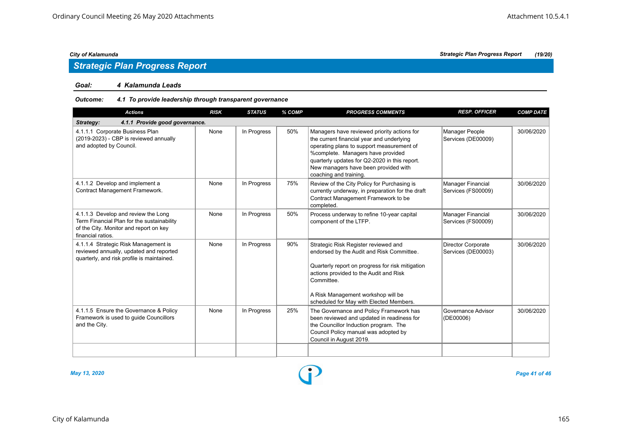## *Strategic Plan Progress Report*

#### *Goal: 4 Kalamunda Leads*

#### *Outcome: 4.1 To provide leadership through transparent governance*

| <b>Actions</b>                                                                                                                                   | <b>RISK</b> | <b>STATUS</b> | % COMP | <b>PROGRESS COMMENTS</b>                                                                                                                                                                                                                                                                      | <b>RESP. OFFICER</b>                     | <b>COMP DATE</b> |  |  |  |
|--------------------------------------------------------------------------------------------------------------------------------------------------|-------------|---------------|--------|-----------------------------------------------------------------------------------------------------------------------------------------------------------------------------------------------------------------------------------------------------------------------------------------------|------------------------------------------|------------------|--|--|--|
| 4.1.1 Provide good governance.<br>Strategy:                                                                                                      |             |               |        |                                                                                                                                                                                                                                                                                               |                                          |                  |  |  |  |
| 4.1.1.1 Corporate Business Plan<br>(2019-2023) - CBP is reviewed annually<br>and adopted by Council.                                             | None        | In Progress   | 50%    | Managers have reviewed priority actions for<br>the current financial year and underlying<br>operating plans to support measurement of<br>%complete. Managers have provided<br>quarterly updates for Q2-2020 in this report.<br>New managers have been provided with<br>coaching and training. | Manager People<br>Services (DE00009)     | 30/06/2020       |  |  |  |
| 4.1.1.2 Develop and implement a<br>Contract Management Framework.                                                                                | None        | In Progress   | 75%    | Review of the City Policy for Purchasing is<br>currently underway, in preparation for the draft<br>Contract Management Framework to be<br>completed.                                                                                                                                          | Manager Financial<br>Services (FS00009)  | 30/06/2020       |  |  |  |
| 4.1.1.3 Develop and review the Long<br>Term Financial Plan for the sustainability<br>of the City. Monitor and report on key<br>financial ratios. | None        | In Progress   | 50%    | Process underway to refine 10-year capital<br>component of the LTFP.                                                                                                                                                                                                                          | Manager Financial<br>Services (FS00009)  | 30/06/2020       |  |  |  |
| 4.1.1.4 Strategic Risk Management is<br>reviewed annually, updated and reported<br>quarterly, and risk profile is maintained.                    | None        | In Progress   | 90%    | Strategic Risk Register reviewed and<br>endorsed by the Audit and Risk Committee.<br>Quarterly report on progress for risk mitigation<br>actions provided to the Audit and Risk<br>Committee.<br>A Risk Management workshop will be<br>scheduled for May with Elected Members.                | Director Corporate<br>Services (DE00003) | 30/06/2020       |  |  |  |
| 4.1.1.5 Ensure the Governance & Policy<br>Framework is used to guide Councillors<br>and the City.                                                | None        | In Progress   | 25%    | The Governance and Policy Framework has<br>been reviewed and updated in readiness for<br>the Councillor Induction program. The<br>Council Policy manual was adopted by<br>Council in August 2019.                                                                                             | Governance Advisor<br>(DE00006)          | 30/06/2020       |  |  |  |
|                                                                                                                                                  |             |               |        |                                                                                                                                                                                                                                                                                               |                                          |                  |  |  |  |

*May 13, 2020 Page 41 of 46*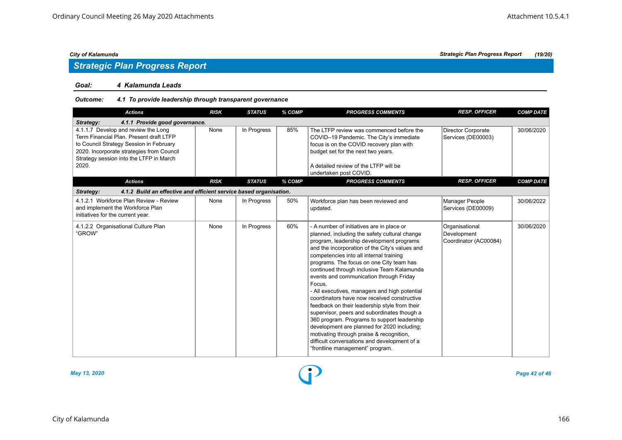## *Strategic Plan Progress Report*

#### *Goal: 4 Kalamunda Leads*

#### *Outcome: 4.1 To provide leadership through transparent governance*

| <b>Actions</b>                                                                                                                                                                                                             | <b>RISK</b> | <b>STATUS</b> | % COMP | <b>PROGRESS COMMENTS</b>                                                                                                                                                                                                                                                                                                                                                                                                                                                                                                                                                                                                                                                                                                                                                                                        | <b>RESP. OFFICER</b>                                   | <b>COMP DATE</b> |
|----------------------------------------------------------------------------------------------------------------------------------------------------------------------------------------------------------------------------|-------------|---------------|--------|-----------------------------------------------------------------------------------------------------------------------------------------------------------------------------------------------------------------------------------------------------------------------------------------------------------------------------------------------------------------------------------------------------------------------------------------------------------------------------------------------------------------------------------------------------------------------------------------------------------------------------------------------------------------------------------------------------------------------------------------------------------------------------------------------------------------|--------------------------------------------------------|------------------|
| Strategy:<br>4.1.1 Provide good governance.                                                                                                                                                                                |             |               |        |                                                                                                                                                                                                                                                                                                                                                                                                                                                                                                                                                                                                                                                                                                                                                                                                                 |                                                        |                  |
| 4.1.1.7 Develop and review the Long<br>Term Financial Plan, Present draft LTFP<br>to Council Strategy Session in February<br>2020. Incorporate strategies from Council<br>Strategy session into the LTFP in March<br>2020. | None        | In Progress   | 85%    | The LTFP review was commenced before the<br>COVID-19 Pandemic. The City's immediate<br>focus is on the COVID recovery plan with<br>budget set for the next two years.<br>A detailed review of the LTFP will be<br>undertaken post COVID.                                                                                                                                                                                                                                                                                                                                                                                                                                                                                                                                                                        | Director Corporate<br>Services (DE00003)               | 30/06/2020       |
| <b>Actions</b>                                                                                                                                                                                                             | <b>RISK</b> | <b>STATUS</b> | % COMP | <b>PROGRESS COMMENTS</b>                                                                                                                                                                                                                                                                                                                                                                                                                                                                                                                                                                                                                                                                                                                                                                                        | <b>RESP. OFFICER</b>                                   | <b>COMP DATE</b> |
| 4.1.2 Build an effective and efficient service based organisation.<br>Strategy:                                                                                                                                            |             |               |        |                                                                                                                                                                                                                                                                                                                                                                                                                                                                                                                                                                                                                                                                                                                                                                                                                 |                                                        |                  |
| 4.1.2.1 Workforce Plan Review - Review<br>and implement the Workforce Plan<br>initiatives for the current year.                                                                                                            | None        | In Progress   | 50%    | Workforce plan has been reviewed and<br>updated.                                                                                                                                                                                                                                                                                                                                                                                                                                                                                                                                                                                                                                                                                                                                                                | Manager People<br>Services (DE00009)                   | 30/06/2022       |
| 4.1.2.2 Organisational Culture Plan<br>"GROW"                                                                                                                                                                              | None        | In Progress   | 60%    | - A number of initiatives are in place or<br>planned, including the safety cultural change<br>program, leadership development programs<br>and the incorporation of the City's values and<br>competencies into all internal training<br>programs. The focus on one City team has<br>continued through inclusive Team Kalamunda<br>events and communication through Friday<br>Focus.<br>- All executives, managers and high potential<br>coordinators have now received constructive<br>feedback on their leadership style from their<br>supervisor, peers and subordinates though a<br>360 program. Programs to support leadership<br>development are planned for 2020 including;<br>motivating through praise & recognition,<br>difficult conversations and development of a<br>"frontline management" program. | Organisational<br>Development<br>Coordinator (AC00084) | 30/06/2020       |



*May 13, 2020 Page 42 of 46*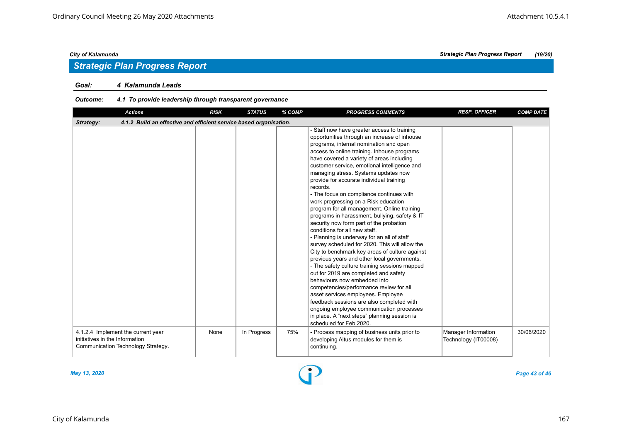## *Strategic Plan Progress Report*

#### *Goal: 4 Kalamunda Leads*

#### *Outcome: 4.1 To provide leadership through transparent governance*

| <b>Actions</b>                                                                                             | <b>RISK</b> | <b>STATUS</b> | % COMP | <b>PROGRESS COMMENTS</b>                                                                                                                                                                                                                                                                                                                                                                                                                                                                                                                                                                                                                                                                                                                                                                                                                                                                                                                                                                                                                                                                                                                                                                                                          | <b>RESP. OFFICER</b>                        | <b>COMP DATE</b> |  |  |  |
|------------------------------------------------------------------------------------------------------------|-------------|---------------|--------|-----------------------------------------------------------------------------------------------------------------------------------------------------------------------------------------------------------------------------------------------------------------------------------------------------------------------------------------------------------------------------------------------------------------------------------------------------------------------------------------------------------------------------------------------------------------------------------------------------------------------------------------------------------------------------------------------------------------------------------------------------------------------------------------------------------------------------------------------------------------------------------------------------------------------------------------------------------------------------------------------------------------------------------------------------------------------------------------------------------------------------------------------------------------------------------------------------------------------------------|---------------------------------------------|------------------|--|--|--|
| 4.1.2 Build an effective and efficient service based organisation.<br>Strategy:                            |             |               |        |                                                                                                                                                                                                                                                                                                                                                                                                                                                                                                                                                                                                                                                                                                                                                                                                                                                                                                                                                                                                                                                                                                                                                                                                                                   |                                             |                  |  |  |  |
|                                                                                                            |             |               |        | - Staff now have greater access to training<br>opportunities through an increase of inhouse<br>programs, internal nomination and open<br>access to online training. Inhouse programs<br>have covered a variety of areas including<br>customer service, emotional intelligence and<br>managing stress. Systems updates now<br>provide for accurate individual training<br>records.<br>- The focus on compliance continues with<br>work progressing on a Risk education<br>program for all management. Online training<br>programs in harassment, bullying, safety & IT<br>security now form part of the probation<br>conditions for all new staff.<br>- Planning is underway for an all of staff<br>survey scheduled for 2020. This will allow the<br>City to benchmark key areas of culture against<br>previous years and other local governments.<br>- The safety culture training sessions mapped<br>out for 2019 are completed and safety<br>behaviours now embedded into<br>competencies/performance review for all<br>asset services employees. Employee<br>feedback sessions are also completed with<br>ongoing employee communication processes<br>in place. A "next steps" planning session is<br>scheduled for Feb 2020. |                                             |                  |  |  |  |
| 4.1.2.4 Implement the current year<br>initiatives in the Information<br>Communication Technology Strategy. | None        | In Progress   | 75%    | - Process mapping of business units prior to<br>developing Altus modules for them is<br>continuing.                                                                                                                                                                                                                                                                                                                                                                                                                                                                                                                                                                                                                                                                                                                                                                                                                                                                                                                                                                                                                                                                                                                               | Manager Information<br>Technology (IT00008) | 30/06/2020       |  |  |  |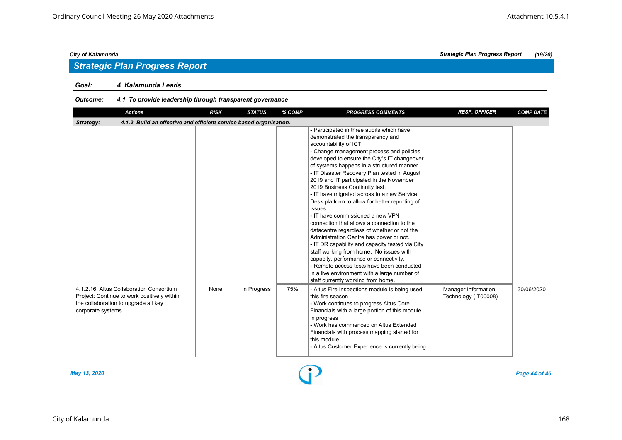## *Strategic Plan Progress Report*

#### *Goal: 4 Kalamunda Leads*

#### *Outcome: 4.1 To provide leadership through transparent governance*

| <b>Actions</b>                                                                                                                                       | <b>RISK</b> | <b>STATUS</b> | % COMP | <b>PROGRESS COMMENTS</b>                                                                                                                                                                                                                                                                                                                                                                                                                                                                                                                                                                                                                                                                                                                                                                                                                                                                                                                           | <b>RESP. OFFICER</b>                        | <b>COMP DATE</b> |  |  |  |
|------------------------------------------------------------------------------------------------------------------------------------------------------|-------------|---------------|--------|----------------------------------------------------------------------------------------------------------------------------------------------------------------------------------------------------------------------------------------------------------------------------------------------------------------------------------------------------------------------------------------------------------------------------------------------------------------------------------------------------------------------------------------------------------------------------------------------------------------------------------------------------------------------------------------------------------------------------------------------------------------------------------------------------------------------------------------------------------------------------------------------------------------------------------------------------|---------------------------------------------|------------------|--|--|--|
| 4.1.2 Build an effective and efficient service based organisation.<br>Strategy:                                                                      |             |               |        |                                                                                                                                                                                                                                                                                                                                                                                                                                                                                                                                                                                                                                                                                                                                                                                                                                                                                                                                                    |                                             |                  |  |  |  |
|                                                                                                                                                      |             |               |        | - Participated in three audits which have<br>demonstrated the transparency and<br>accountability of ICT.<br>- Change management process and policies<br>developed to ensure the City's IT changeover<br>of systems happens in a structured manner.<br>- IT Disaster Recovery Plan tested in August<br>2019 and IT participated in the November<br>2019 Business Continuity test.<br>- IT have migrated across to a new Service<br>Desk platform to allow for better reporting of<br>issues.<br>- IT have commissioned a new VPN<br>connection that allows a connection to the<br>datacentre regardless of whether or not the<br>Administration Centre has power or not.<br>- IT DR capability and capacity tested via City<br>staff working from home. No issues with<br>capacity, performance or connectivity.<br>- Remote access tests have been conducted<br>in a live environment with a large number of<br>staff currently working from home. |                                             |                  |  |  |  |
| 4.1.2.16 Altus Collaboration Consortium<br>Project: Continue to work positively within<br>the collaboration to upgrade all key<br>corporate systems. | None        | In Progress   | 75%    | - Altus Fire Inspections module is being used<br>this fire season<br>- Work continues to progress Altus Core<br>Financials with a large portion of this module<br>in progress<br>- Work has commenced on Altus Extended<br>Financials with process mapping started for<br>this module<br>- Altus Customer Experience is currently being                                                                                                                                                                                                                                                                                                                                                                                                                                                                                                                                                                                                            | Manager Information<br>Technology (IT00008) | 30/06/2020       |  |  |  |



*May 13, 2020 Page 44 of 46*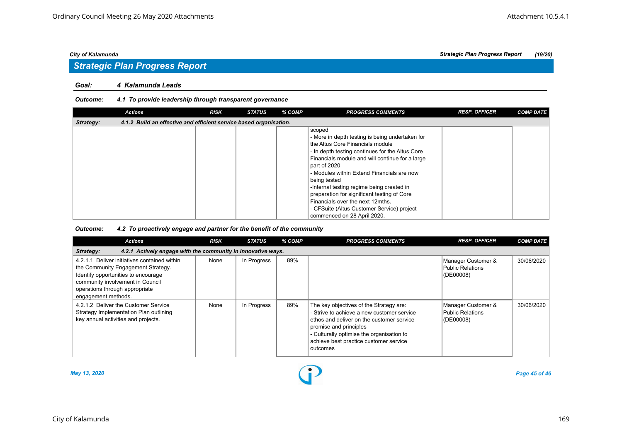# *Strategic Plan Progress Report*

#### *Goal: 4 Kalamunda Leads*

#### *Outcome: 4.1 To provide leadership through transparent governance*

|           | <b>Actions</b>                                                     | <b>RISK</b> | <b>STATUS</b> | % COMP | <b>PROGRESS COMMENTS</b>                                                                                                                                                                                                                                                                                                                                                                                                                                                                       | <b>RESP. OFFICER</b> | <b>COMP DATE</b> |
|-----------|--------------------------------------------------------------------|-------------|---------------|--------|------------------------------------------------------------------------------------------------------------------------------------------------------------------------------------------------------------------------------------------------------------------------------------------------------------------------------------------------------------------------------------------------------------------------------------------------------------------------------------------------|----------------------|------------------|
| Strategy: | 4.1.2 Build an effective and efficient service based organisation. |             |               |        |                                                                                                                                                                                                                                                                                                                                                                                                                                                                                                |                      |                  |
|           |                                                                    |             |               |        | scoped<br>- More in depth testing is being undertaken for<br>the Altus Core Financials module<br>- In depth testing continues for the Altus Core<br>Financials module and will continue for a large<br>part of 2020<br>- Modules within Extend Financials are now<br>being tested<br>-Internal testing regime being created in<br>preparation for significant testing of Core<br>Financials over the next 12mths.<br>- CFSuite (Altus Customer Service) project<br>commenced on 28 April 2020. |                      |                  |

#### *Outcome: 4.2 To proactively engage and partner for the benefit of the community*

| <b>Actions</b>                                                                                                                                                                                                         | <b>RISK</b> | <b>STATUS</b> | % COMP | <b>PROGRESS COMMENTS</b>                                                                                                                                                                                                                                        | <b>RESP. OFFICER</b>                                    | <b>COMP DATE</b> |  |  |  |
|------------------------------------------------------------------------------------------------------------------------------------------------------------------------------------------------------------------------|-------------|---------------|--------|-----------------------------------------------------------------------------------------------------------------------------------------------------------------------------------------------------------------------------------------------------------------|---------------------------------------------------------|------------------|--|--|--|
| 4.2.1 Actively engage with the community in innovative ways.<br>Strategy:                                                                                                                                              |             |               |        |                                                                                                                                                                                                                                                                 |                                                         |                  |  |  |  |
| 4.2.1.1 Deliver initiatives contained within<br>the Community Engagement Strategy.<br>Identify opportunities to encourage<br>community involvement in Council<br>operations through appropriate<br>engagement methods. | None        | In Progress   | 89%    |                                                                                                                                                                                                                                                                 | Manager Customer &<br>Public Relations<br>$ $ (DE00008) | 30/06/2020       |  |  |  |
| 4.2.1.2 Deliver the Customer Service<br>Strategy Implementation Plan outlining<br>key annual activities and projects.                                                                                                  | None        | In Progress   | 89%    | The key objectives of the Strategy are:<br>- Strive to achieve a new customer service<br>ethos and deliver on the customer service<br>promise and principles<br>- Culturally optimise the organisation to<br>achieve best practice customer service<br>outcomes | Manager Customer &<br>Public Relations<br>(OE00008)     | 30/06/2020       |  |  |  |

*May 13, 2020 Page 45 of 46*